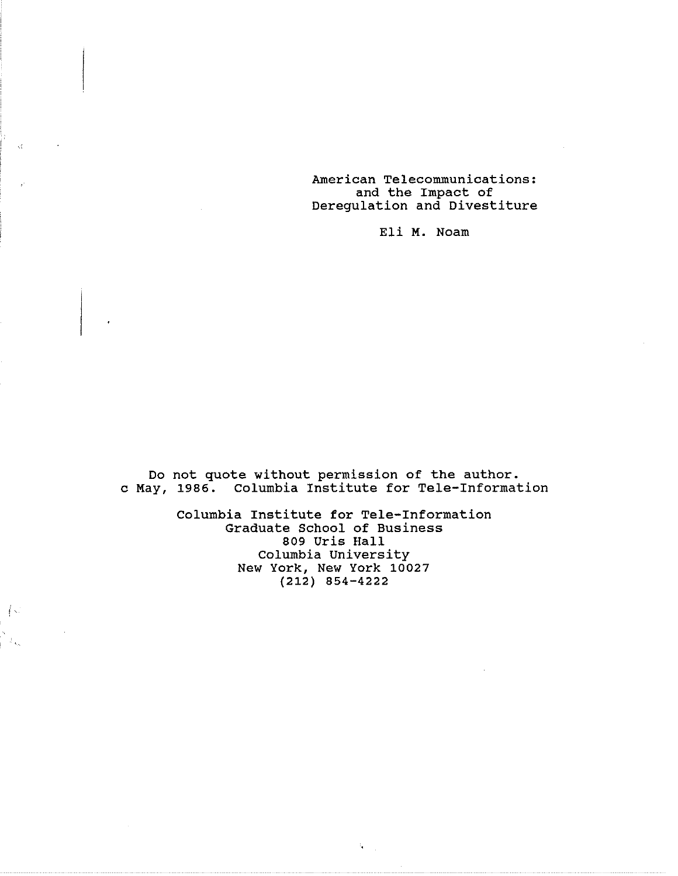American Telecommunications: and the Impact of Deregulation and Divestitu

Eli **M.** Noam

Do not quote without permission of the author. c May, 1986. Columbia Institute for Tele-Informat

> Columbia Institute for Tele-Information Graduate School of Business 809 Uris Hall Columbia Universi New York, New York 10027 (212) 854-4222

> > $t_{\bullet} = \frac{1}{2}$

 $\left\{ \cdot \right\}$ 

 $\mathcal{I}_{\infty}$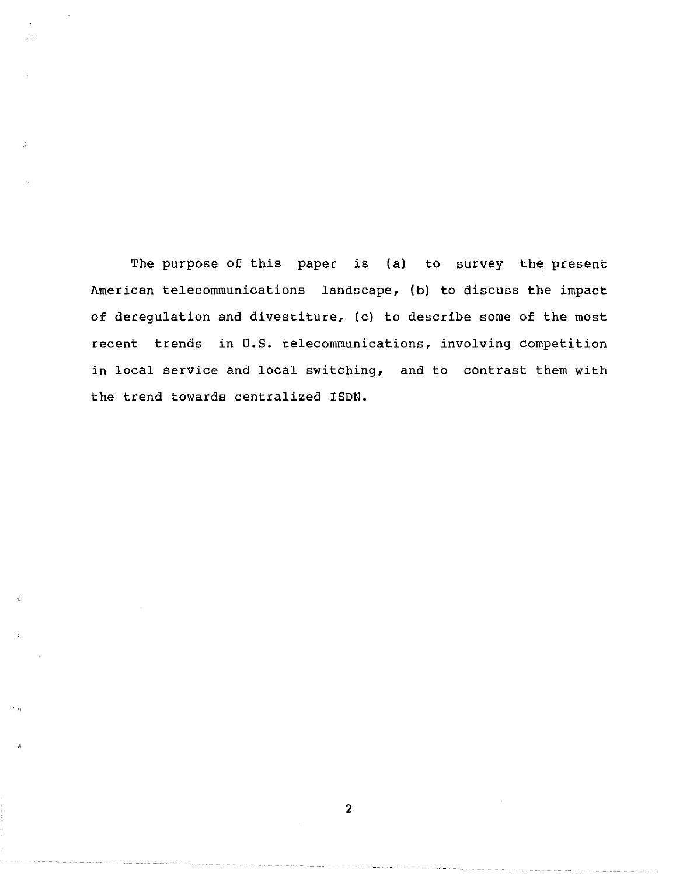The purpose of this paper is (a) to survey the present American telecommunications landscape, (b) to discuss the impact of deregulation and divestiture, (c) to describe some of the most recent trends in U.S. telecommunications, involving competition in local service and local switching, and to contrast them with the trend towards centralized ISDN.

 $\lesssim$  )

 $\ell, \ell$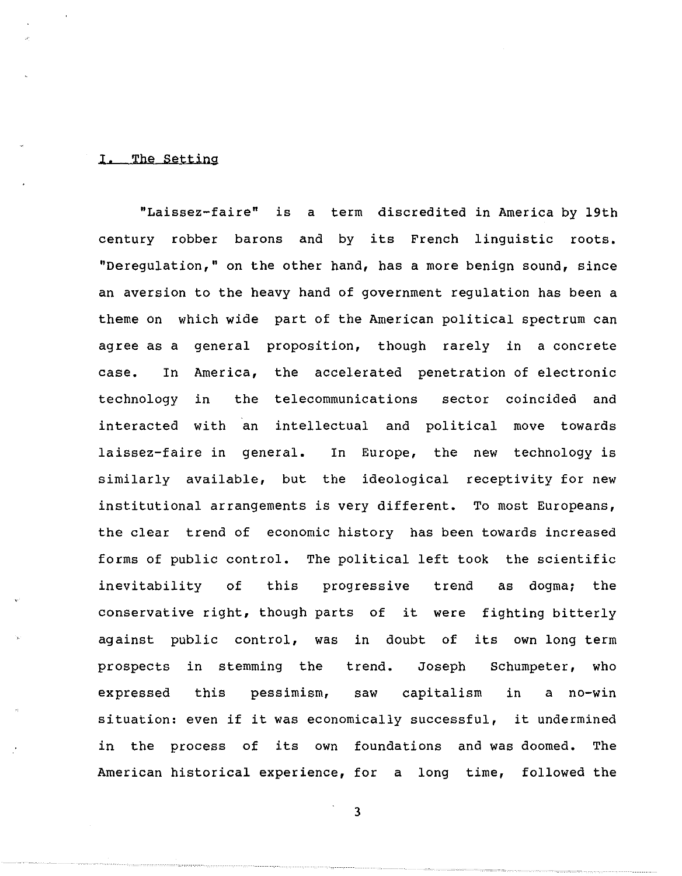#### I, The Setting

"Laissez-faire" is a term discredited in America by 19th century robber barons and by its French linguistic roots. "Deregulation," on the other hand, has a more benign sound, since an aversion to the heavy hand of government regulation has been a theme on which wide part of the American political spectrum can agree as a general proposition, though rarely in a concrete case. In America, the accelerated penetration of electronic technology in the telecommunications sector coincided and interacted with an intellectual and political move towards laissez-faire in general. In Europe, the new technology is similarly available, but the ideological receptivity for new institutional arrangements is very different. To most Europeans, the clear trend of economic history has been towards increased forms of public control. The political left took the scientific inevitability of this progressive trend as dogma; the conservative right, though parts of it were fighting bitterly against public control, was in doubt of its own long term prospects in stemming the trend. Joseph Schumpeter, who expressed this pessimism, saw capitalism in a no-win situation: even if it was economically successful, it undermined in the process of its own foundations and was doomed. The American historical experience, for a long time, followed the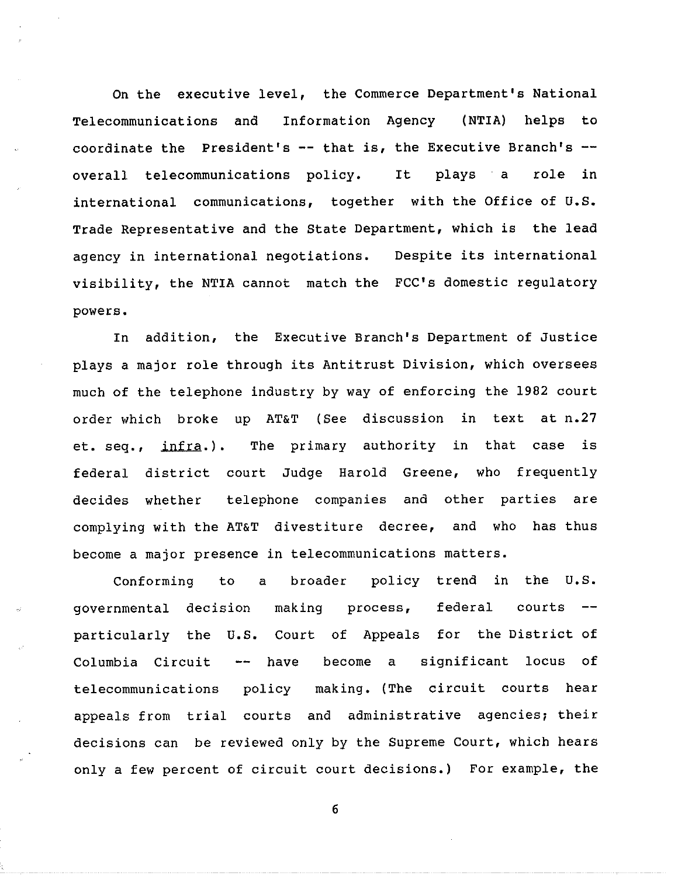On the executive level, the Commerce Department's National Telecommunications and Information Agency (NTIA) helps to coordinate the President's  $--$  that is, the Executive Branch's  $-$ overall telecommunications policy. It plays a role in international communications, together with the Office of U.S. Trade Representative and the State Department, which is the lead agency in international negotiations. Despite its international visibility, the NTIA cannot match the FCC's domestic regulato powers.

In addition, the Executive Branch's Department of Justice plays a major role through its Antitrust Division, which oversees much of the telephone industry by way of enforcing the 1982 court order which broke up AT&T (See discussion in text at n.27 et, seq., infra.). The primary authority in that case is federal district court Judge Harold Greene, who frequently decides whether telephone companies and other parties are complying with the AT&T divestiture decree, and who has thus become a major presence in telecommunications matters.

Conforming to a broader policy trend in the U.S. governmental decision particularly the U.S. Court of Appeals for the District of making process, -- have become a federal courts Columbia Circuit -- have become a significant locus of telecommunications policy making. (The circuit courts hear appeals from trial courts and administrative agencies; their decisions can be reviewed only by the Supreme Court, which hears only a few percent of circuit court decisions.) For example, the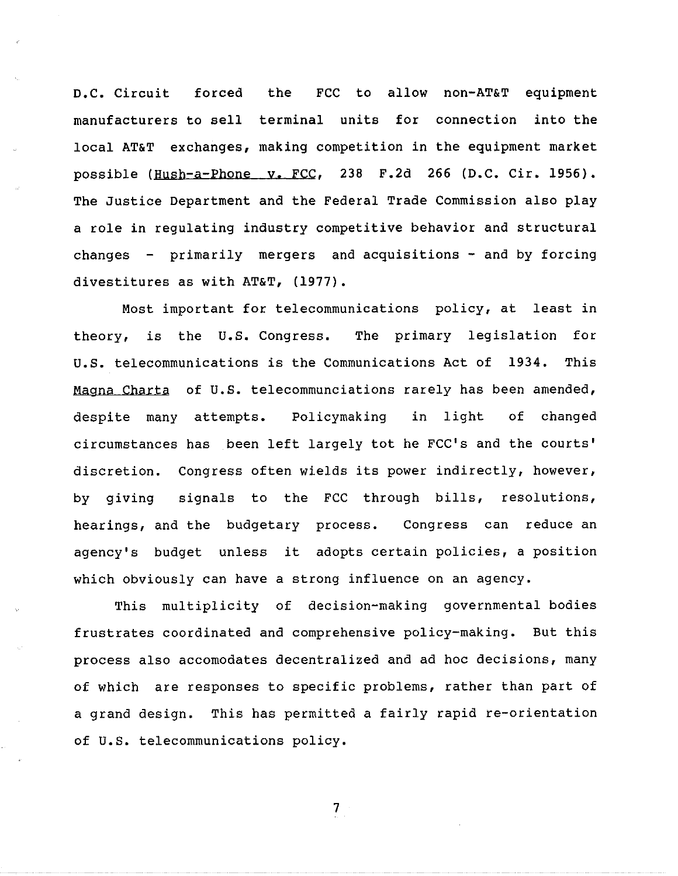D.C. Circuit forced the FCC to allow non-AT&T equipment manufacturers to sell terminal units for connection into the local AT&T exchanges, making competition in the equipment market possible (Hush-a-Phone y, FCC, 238 F.2d 266 (D.C. Cir. 1956). The Justice Department and the Federal Trade Commission also play a role in regulating industry competitive behavior and structural changes - primarily mergers and acquisitions - and by forcing divestitures as with AT&T, (1977).

Most important for telecommunications policy, at least in theory, is the U.S. Congress. The primary legislation for U.S. telecommunications is the Communications Act of 1934. This Magna Charta of U.S. telecommunciations rarely has been amended despite many attempts. Policymaking in light of changed circumstances has been left largely tot he FCC's and the courts' discretion. Congress often wields its power indirectly, however, by giving signals to the FCC through bills, resolutions, hearings, and the budgetary process. Congress can reduce an agency's budget unless it adopts certain policies, a position which obviously can have a strong influence on an agency.

This multiplicity of decision-making governmental bodies frustrates coordinated and comprehensive policy-making. But this process also accomodates decentralized and ad hoc decisions, many of which are responses to specific problems, rather than part of a grand design. This has permitted a fairly rapid re-orientation of U.S. telecommunications policy.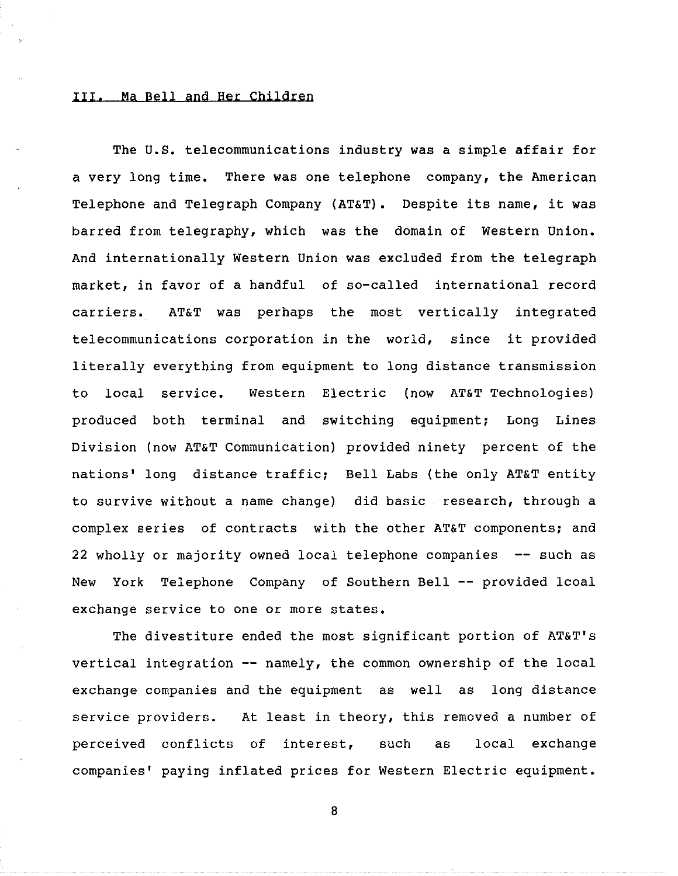### III, Ma Bell and Her Children

The U.S. telecommunications industry was a simple affair for a very long time. There was one telephone company, the American Telephone and Telegraph Company (AT&T). Despite its name, it was barred from telegraphy, which was the domain of Western Union. And internationally Western Union was excluded from the telegraph market, in favor of a handful of so-called international recor carriers. AT&T was perhaps the most vertically integration telecommunications corporation in the world, since it provided literally everything from equipment to long distance transmission to local service. Western Electric (now AT&T Technologies) produced both terminal and switching equipment; Long Lines Division (now AT&T Communication) provided ninety percent of the nations' long distance traffic; Bell Labs (the only AT&T entity to survive without a name change) did basic research, through a complex series of contracts with the other AT&T components; and **22** wholly or majority owned local telephone companies -- such as New York Telephone Company of Southern Bell -- provided lcoal exchange service to one or more states.

The divestiture ended the most significant portion of AT&T's vertical integration -- namely, the common ownership of the local exchange companies and the equipment as well as long distance service providers. At least in theory, this removed a number of perceived conflicts of interest, such as local exchange companies' paying inflated prices for Western Electric equipment.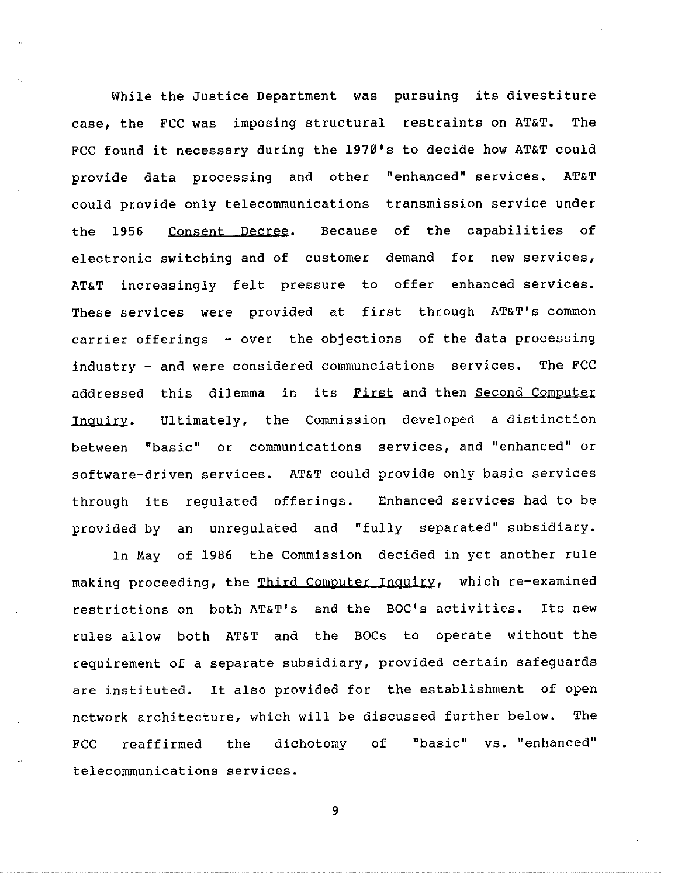While the Justice Department was pursuing its divestiture case, the FCC was imposing structural restraints on AT&T. The FCC found it necessary during the 1970's to decide how AT&T could provide data processing and other "enhanced" services. AT&T could provide only telecommunications transmission service under the 1956 Consent Decree. Because of the capabilities of electronic switching and of customer demand for new services, AT&T increasingly felt pressure to offer enhanced services. These services were provided at first through AT&T's common carrier offerings - over the objections of the data processing industry - and were considered communciations services. The FCC addressed this dilemma in its First and then Second Computer Inquiry. Ultimately, the Commission developed a distinction between "basic" or communications services, and "enhanced" or software-driven services. AT&T could provide only basic services through its regulated offerings. Enhanced services had to be provided by an unregulated and "fully separated" subsidiary.

In May of 1986 the Commission decided in yet another rule making proceeding, the Third Computer Inquiry, which re-examined restrictions on both AT&T's and the BOC's activities. Its new rules allow both AT&T and the BOCs to operate without the requirement of a separate subsidiary, provided certain safeguards are instituted. It also provided for the establishment of open network architecture, which will be discussed further below. The FCC reaffirmed the dichotomy of "basic" vs. "enhanced" telecommunications services.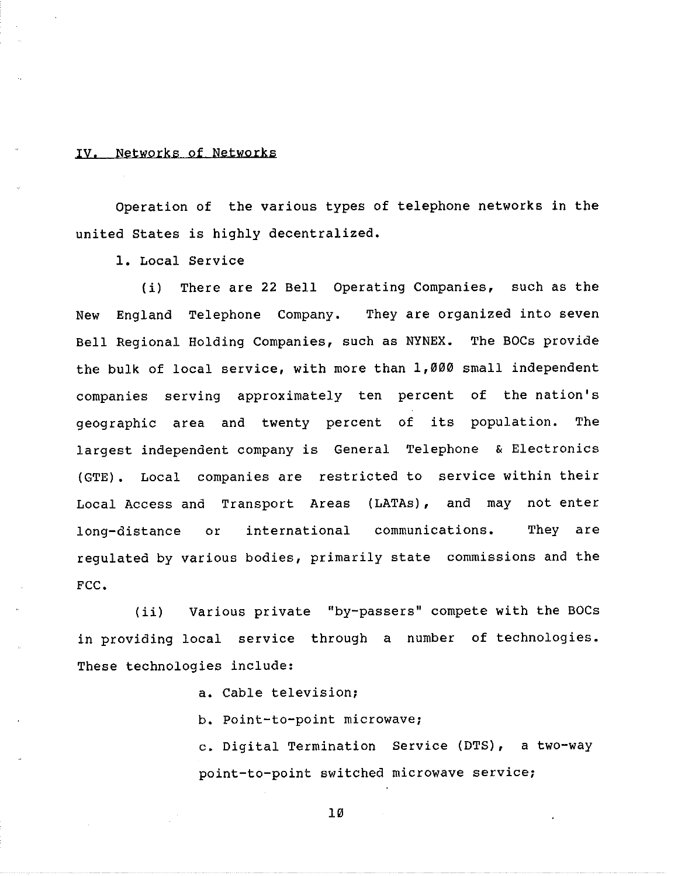### IV. Networks of Networks

Operation of the various types of telephone networks in the united States is highly decentralized,

1, Local Service

(i) There are 22 Bell Operating Companies, such as the New England Telephone Company. They are organized into seven Bell Regional Holding Companies, such as NYNEX. The BOCs provide the bulk of local service, with more than 1,000 small independent companies serving approximately ten percent of the nation's geographic area and twenty percent of its population. The largest independent company is General Telephone & Electronics (GTE). Local companies are restricted to service within their Local Access and Transport Areas (LATAs), and may not enter long-distance or international communications. They are regulated by various bodies, primarily state commissions and the FCC,

(ii) Various private "by-passers" compete with the BOCs in providing local service through a number of technologies. These technologies include:

a. Cable television;

b, Point-to-point microwave;

c. Digital Termination Service (DTS), a two-way point-to-point switched microwave service;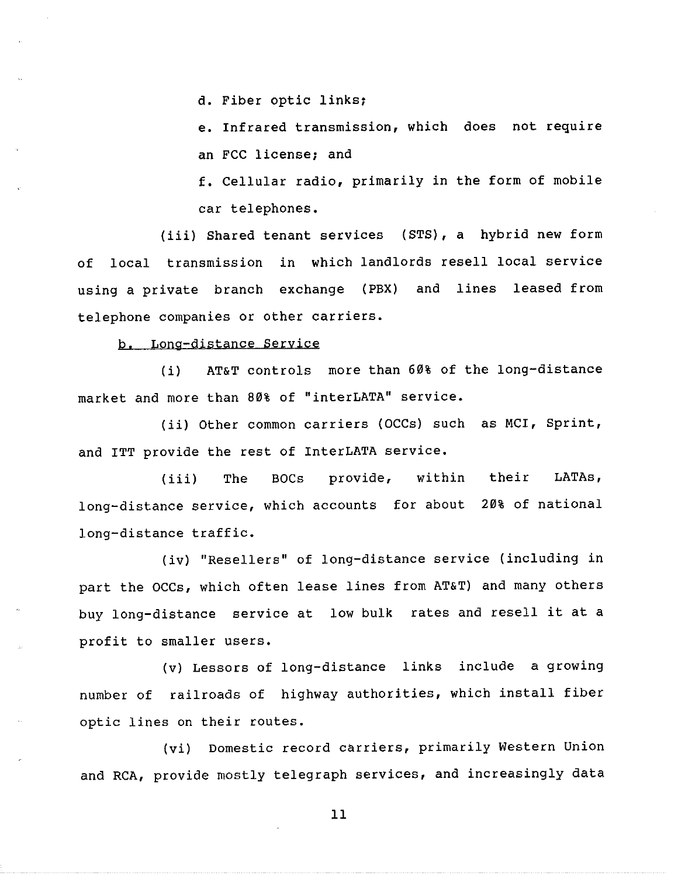d. Fiber optic linksi

e. Infrared transmission, which does not require an FCC license; and

f. Cellular radio, primarily in the form of mobile car telephones.

(iii) Shared tenant services (STS), a hybrid new form of local transmission in which landlords resell local service using a private branch exchange (PBX) and lines leased from telephone companies or other carriers.

b. Long-distance Service

(i) AT&T controls more than 60% of the long-distance market and more than 80% of "interLATA" service.

(ii) Other common carriers (OCCs) such as MCI, Sprint and ITT provide the rest of InterLATA service.

(iii) The BOCs provide, within their LATAs, long-distance service, which accounts for about 20% of nationa long-distance traffic.

(iv) "Resellers" of long-distance service (including in part the OCCs, which often lease lines from AT&T) and many others buy long-distance service at low bulk rates and resell it at a profit to smaller users.

(v) Lessors of long-distance links include a growing number of railroads of highway authorities, which install fiber optic lines on their routes.

(vi) Domestic record carriers, primarily Western Union and RCA, provide mostly telegraph services, and increasingly data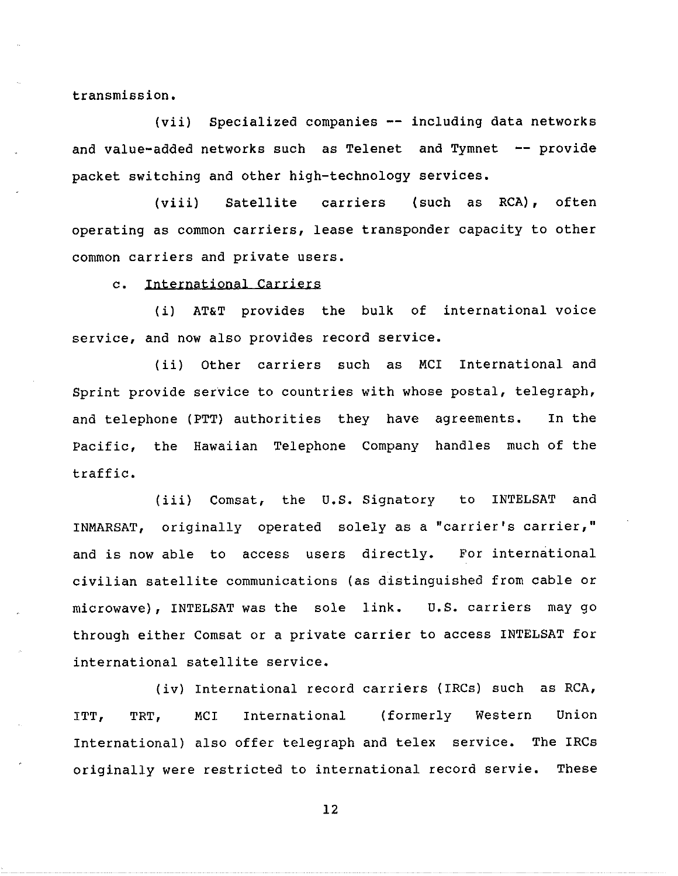transmission.

**(vii)** Specialized companies -- including data networks and value-added networks such as Telenet and Tymnet  $-$  provide packet switching and other high-technology services.

**(viii)** Satellite carriers (such as RCA), often operating as common carriers, lease transponder capacity to other common carriers and private users.

c. International Carriers

(i) AT&T provides the bulk of international voice service, and now also provides record service.

(ii) Other carriers such as MCI International and Sprint provide service to countries with whose postal, telegraph, and telephone (PTT) authorities they have agreements. In the Pacific, the Hawaiian Telephone Company handles much of the traffic.

(iii) Comsat, the U.S. Signatory to INTELSAT and INMARSAT, originally operated solely as a "carrier's carrier," and is now able to access users directly. For international civilian satellite communications (as distinguished from cable or microwave), INTELSAT was the sole link. U.S. carriers may go through either Comsat or a private carrier to access INTELSAT for international satellite service.

(iv) International record carriers (IRCs) such as RCA, ITT, TRT, MCI International (formerly Western Union International) also offer telegraph and telex service. The IRCs originally were restricted to international record servie. These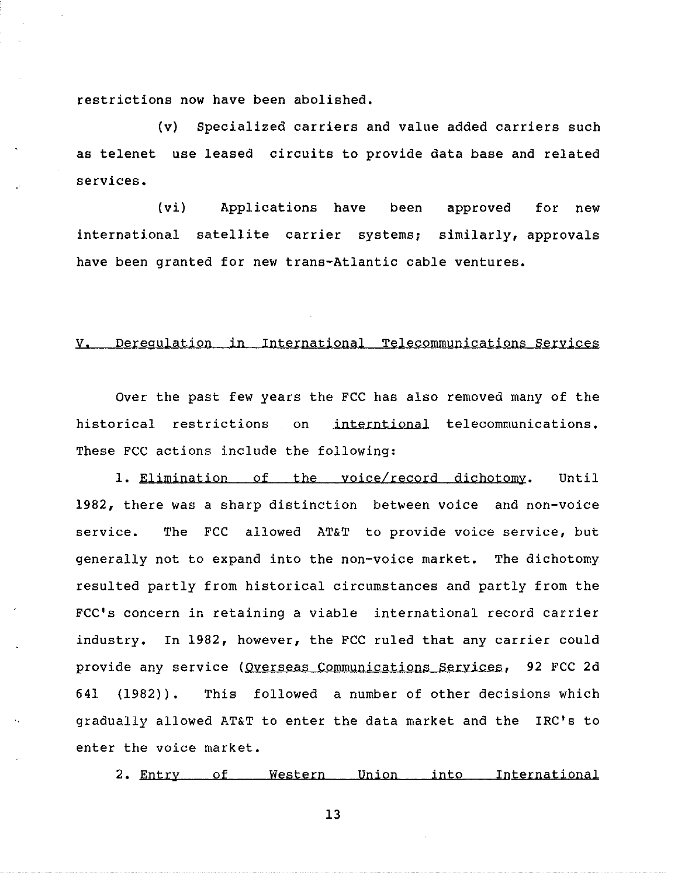restrictions now have been abolished,

(v) Specialized carriers and value added carriers such as telenet use leased circuits to provide data base and related services.

(vi) Applications have been approved for new international satellite carrier systems; similarly, approvals have been granted for new trans-Atlantic cable ventures.

## V. Deregulation in International Telecommunications Services

Over the past few years the FCC has also removed many of the historical restrictions on interntional telecommunications. These FCC actions include the following:

1. Elimination of the voice/record dichotomy. Until 1982, there was a sharp distinction between voice and non-voice service. The FCC allowed AT&T to provide voice service, but generally not to expand into the non-voice market. The dichotomy resulted partly from historical circumstances and partly from the FCC's concern in retaining a viable international record carrier industry. In 1982, however, the FCC ruled that any carrier could provide any service (Overseas Communications Services, 92 FCC 2d 641 (1982)). This followed a number of other decisions which gradually allowed AT&T to enter the data market and the IRC's to enter the voice market,

2. Entry of Western Union into International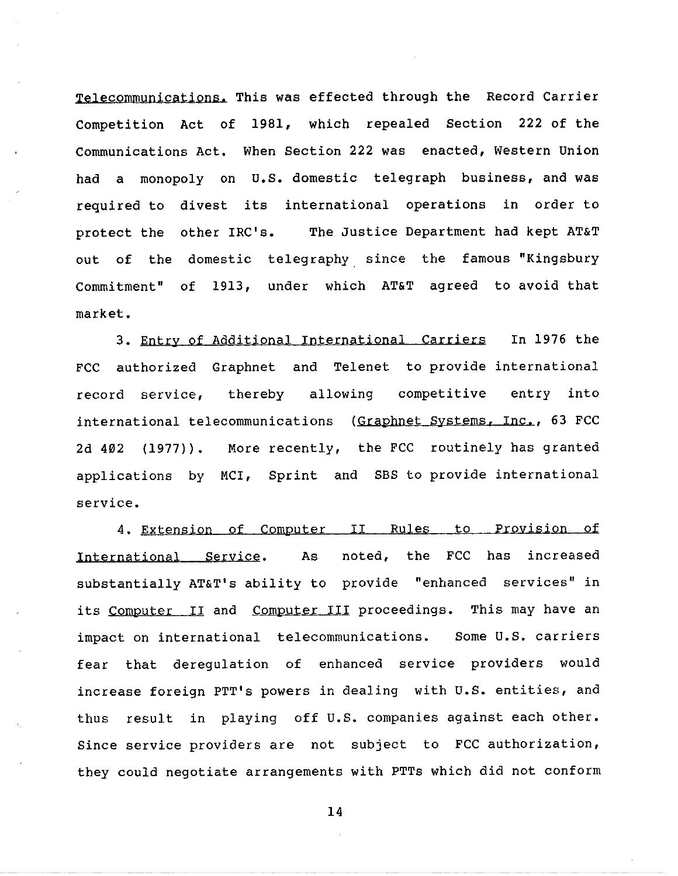Telecommunications. This was effected through the Record Carrier Competition Act of 1981, which repealed Section 222 of the Communications Act. When Section 222 was enacted, Western Union had a monopoly on U.S. domestic telegraph business, and was required to divest its international operations in order to protect the other IRC's. The Justice Department had kept AT&T out of the domestic telegraphy since the famous "Kingsbury Commitment" of 1913, under which AT&T agreed to avoid that market.

3. Entry of Additional International Carriers In 1976 the FCC authorized Graphnet and Telenet to provide international record service, thereby allowing competitive entry into international telecommunications (Graphnet Systems, Inc., 63 FCC 2d 402 (1977)). More recently, the FCC routinely has granted applications by MCI, Sprint and SBS to provide international service.

4. Extension of Computer II Rules to Provision of International Service. As noted, the FCC has increased substantially AT&T's ability to provide "enhanced services" in its Computer II and Computer III proceedings. This may have an impact on international telecommunications. Some U.S. carriers fear that deregulation of enhanced service providers would increase foreign PTT's powers in dealing with U.S. entities, and thus result in playing off U.S. companies against each other. Since service providers are not subject to FCC authorization, they could negotiate arrangements with PTTs which did not conform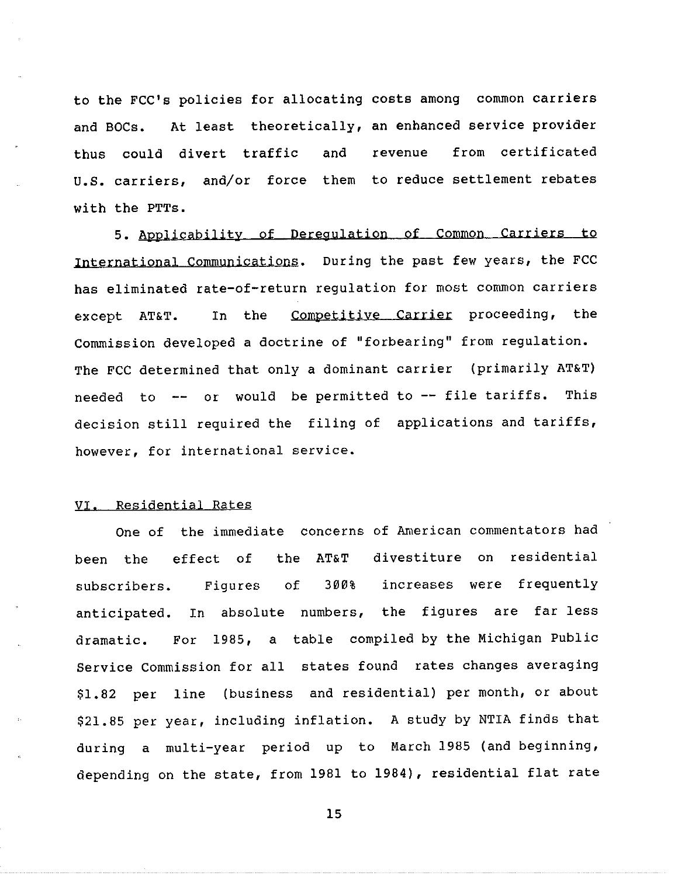to **the** FCC's policies for allocating costs among common carriers and BOCs. At least theoretically, an enhanced service provider thus could divert traffic and revenue from certificated u.s. carriers, and/or force them to reduce settlement rebates with the PTTs.

5. Applicability of Deregulation of Common Carriers to International Communications. During the past few years, the FCC has eliminated rate-of-return regulation for most common carriers except AT&T. In the Competitive Carrier proceeding, the Commission developed a doctrine of "forbearing" from regulation. The FCC determined that only a dominant carrier (primarily AT&T) needed to -- or would be permitted to -- file tariffs. This decision still required the filing of applications and tarif: however, for international service.

## VI. Residential Rates

been the One of the immediate concerns of American commentators had  $effect$  of the AT&T 300% divestiture on resident subscribers. Figures of 300% increases were frequent anticipated. In absolute numbers, the figures are far-les dramatic. For 1985, a table compiled by the Michigan Publi Figures of Service Commission for all states found rates changes averaging \$1.82 per line (business and residential) per month, or about \$21.85 per year, including inflation. A study by NTIA finds that during a multi-year period up to March 1985 (and beginning, depending on the state, from 1981 to 1984), residential flat rate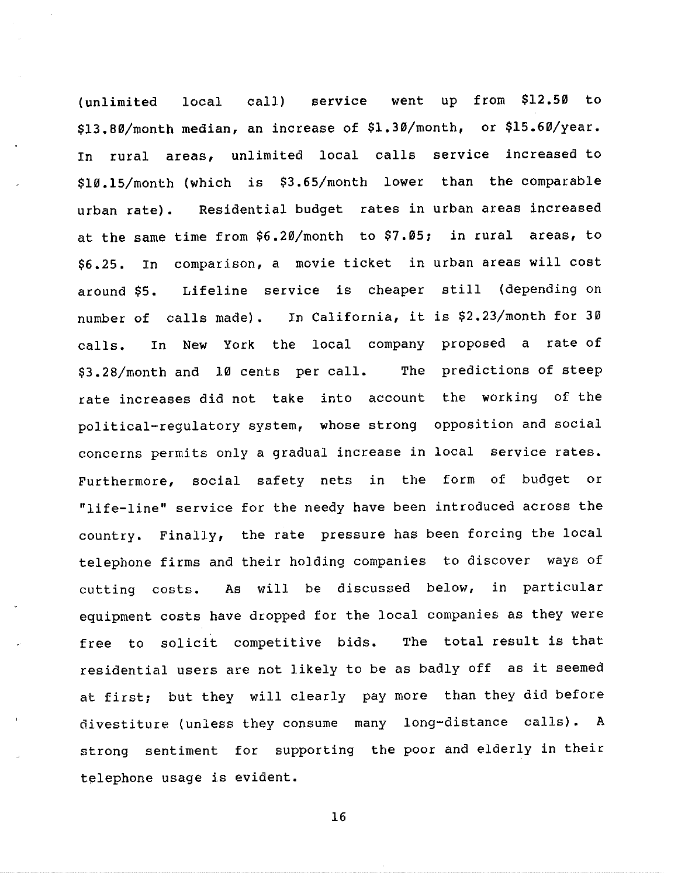$(unlimited$   $local$   $call$   $server$  $$13.80/m$ onth median, an increase of  $$1.30/m$ onth, or  $$15.60/ye$ from **\$12,50** to In rural areas, unlimited local calls service increased to \$10.15/month (which is \$3.65/month lower than the comparabl urban rate). Residential budget rates in urban areas increased at the same time from \$6.20/month to \$7.05; in rural areas, to \$6,25, In comparison, a movie ticket in urban areas will cost around \$5, Lifeline service is cheaper still (depending on number of calls made). In California, it is \$2.23/month for 30 calls. In New York the local company proposed a rate of \$3.28/month and 10 cents per call, The predictions of steep rate increases did not take into account the working of the political-regulatory system, whose strong opposition and social concerns permits only a gradual increase in local service rates. Furthermore, social safety nets in the form of budget or "life-line" service for the needy have been introduced across the country. Finally, the rate pressure has been forcing the local telephone firms and their holding companies to discover ways of cutting costs. As will be discussed below, in particular equipment costs have dropped for the local companies as they were free to solicit competitive bids. The total result is that residential users are not likely to be as badly off as it seemed at first; but they will clearly pay more than they did before divestiture (unless they consume many long-distance calls). A strong sentiment for supporting the poor and elderly in their telephone usage is evident.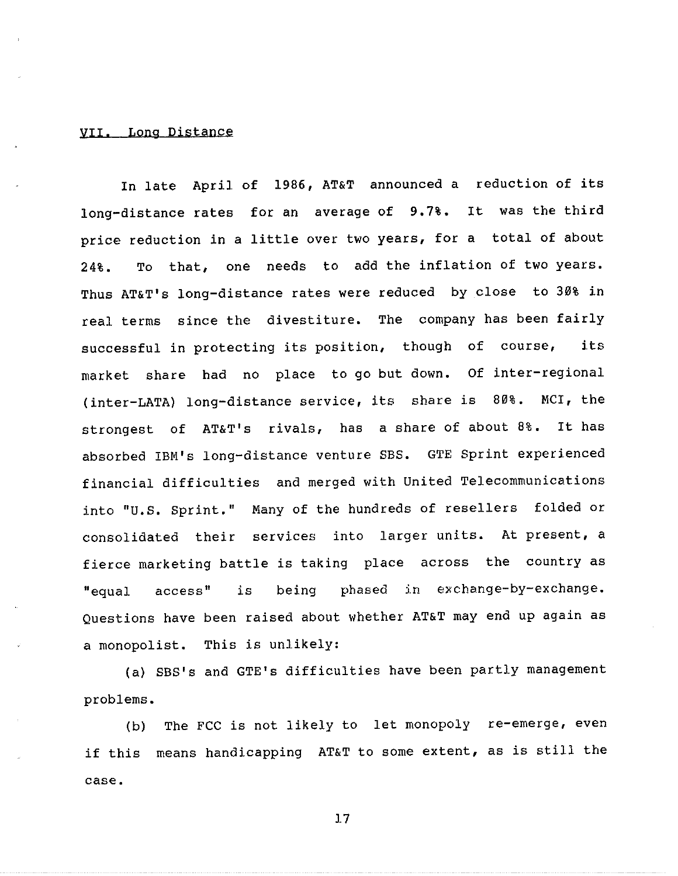### **vrr.** Long Distance

In late April of 1986, AT&T announced a reduction of its long-distance rates for an average of 9.7%. It was the third price reduction in a little over two years, for a total of about 24%. To that, one needs to add the inflation of two years. Thus AT&T's long-distance rates were reduced by close to 30% in real terms since the divestiture. The company has been fairly successful in protecting its position, though of course, its market share had no place to go but down. Of inter-regional (inter-LATA) long-distance service, its share is 80%. MCI, the strongest of AT&T's rivals, has a share of about 8%. It has absorbed IBM's long-distance venture SBS. GTE Sprint experienced financial difficulties and merged with United Telecommunications into "U.S. Sprint." Many of the hundreds of resellers folded or consolidated their services into larger units. At present, a fierce marketing battle is taking place across the country as "equal access" is being phased in exchange-by-exchange. Questions have been raised about whether AT&T may end up again as a monopolist. This is unlikely:

(a) SBS's and GTE's difficulties have been partly management problems.

(b) The FCC is not likely to let monopoly re-emerge, even if this means handicapping AT&T to some extent, as is still the case.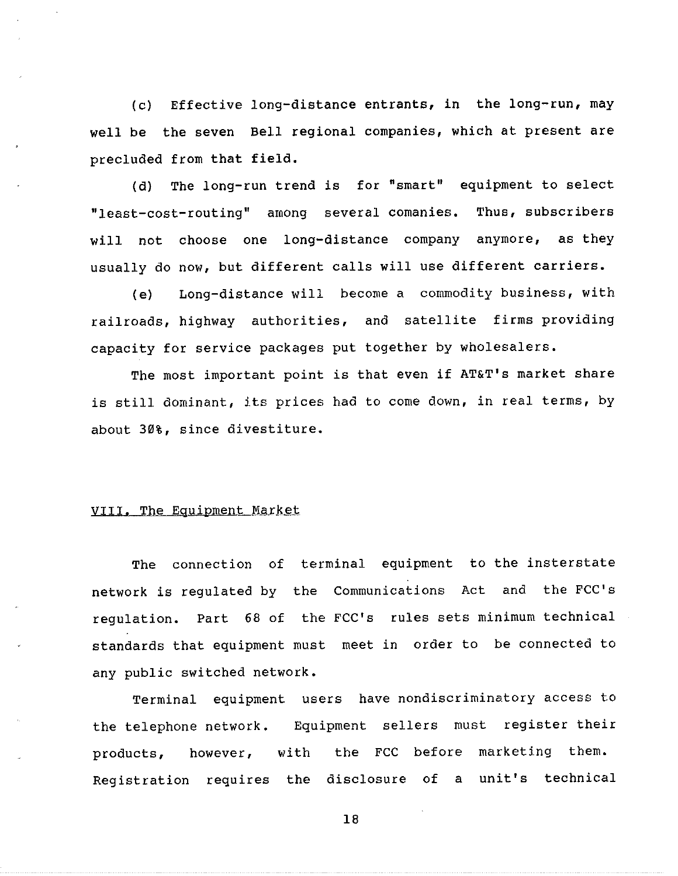(c) Effective long-distance entrants, in the long-run, may well be the seven Bell regional companies, which at present are precluded from that field,

(d) The long-run trend is for "smart" equipment to select "least-cost-routing" among several comanies. Thus, subscribers will not choose one long-distance company anymore, as they usually do now, but different calls will use different carriers.

(e) Long-distance will become a commodity business, with railroads, highway authorities, and satellite firms providing capacity for service packages put together by wholesalers.

The most important point is that even if AT&T's market share is still dominant, its prices had to come down, in real terms, by about 30%, since divestiture.

### VIII. The Equipment Market

The connection of terminal equipment to the insterstate network is regulated by the Communications Act and the FCC's regulation, Part 68 of the FCC's rules sets minimum technical standards that equipment must meet in order to be connected to any public switched network.

Terminal equipment users have nondiscriminatory access to the telephone network. Equipment sellers must register thei however, with the FCC before marketing them. Registration requires the disclosure of a unit's technic products,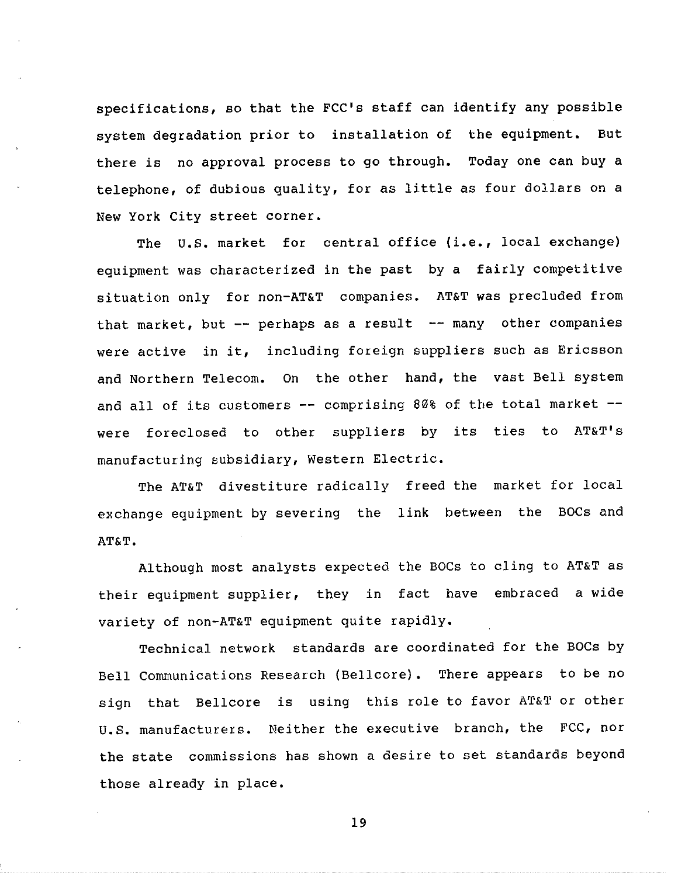specifications, so that the FCC's staff can identify any possible system degradation prior to installation of the equipment. But there is no approval process to go through. Today one can buy a telephone, of dubious quality, for as little as four dollars on a New York City street corner.

The U.S. market for central office (i.e., local exchange) equipment was characterized in the past by a fairly competitive situation only for non-AT&T companies. AT&T was precluded from that market, but  $--$  perhaps as a result  $--$  many other companies were active in it, including foreign suppliers such as Ericsson and Northern Telecom. On the other hand, the vast Bell system and all of its customers  $--$  comprising 80% of the total market  $-$ were foreclosed to other suppliers by its ties to AT&T's manufacturing subsidiary, Western Electric.

The AT&T divestiture radically freed the market for local exchange equipment by severing the link between the BOCs and AT&T.

Although most analysts expected the BOCs to cling to AT&T as their equipment supplier, they in fact have embraced a wide variety of non-AT&T equipment quite rapidly.

Technical network standards are coordinated for the BOCs by Bell Communications Research (Bellcore). There appears to be no sign that Bellcore is using this role to favor AT&T or other U.S. manufacturers. Neither the executive branch, the FCC, nor the state commissions has shown a desire to set standards beyond those already in place.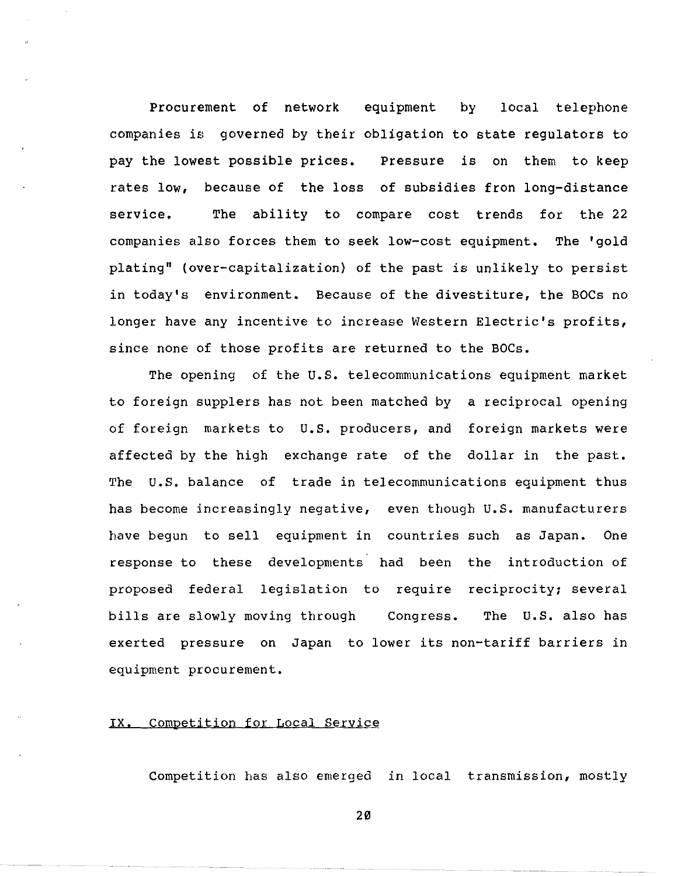Procurement of network equipment by local telephone companies is governed by their obligation to state regulators to pay the lowest possible prices. Pressure is on them to keep rates low, because of the loss of subsidies fron long-distance service. The ability to compare cost trends for the 22 companies also forces them to seek low-cost equipment. The 'gold plating" (over-capitalization) of the past is unlikely to persist in today's environment. Because of the divestiture, the BOCs no longer have any incentive to increase Western Electric's profits, since none of those profits are returned to the BOCs.

The opening of the U.S. telecommunications equipment market to foreign supplers has not been matched by a reciprocal opening of foreign markets to U.S. producers, and foreign markets were affected by the high exchange rate of the dollar in the past. The U.S. balance of trade in telecommunications equipment thus has become increasingly negative, even though U.S. manufacturers have begun to sell equipment in countries such as Japan. One response to these developments had been the introduction of proposed federal legislation to require reciprocity; sever bills are slowly moving through Congress. The U.S. also has exerted pressure on Japan to lower its non-tariff barriers in equipment procurement.

### IX. Competition for Local Service

Competition has also emerged in local transmission, mostly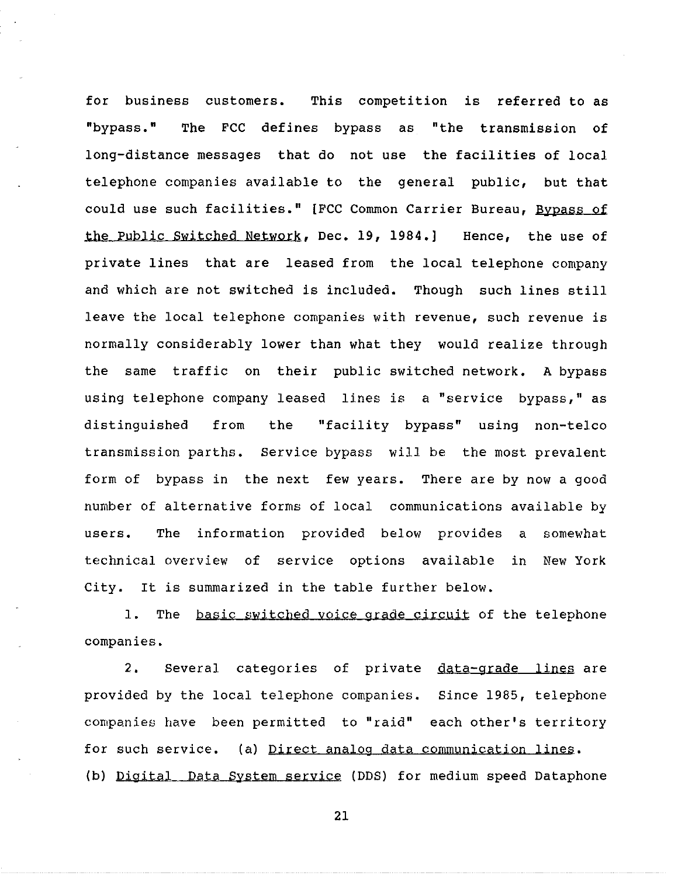for business customers. This competition is referred to as "bypass." The FCC defines bypass as "the transmission of long-distance messages that do not use the facilities of local telephone companies available to the general public, but that could use such facilities." [FCC Common Carrier Bureau, Bypass of the Public Switched Network. Dec. 19, 1984.] Hence, the use of private lines that are leased from the local telephone company and which are not switched is included. Though such lines still leave the local telephone companies with revenue, such revenue is normally considerably lower than what they would realize through the same traffic on their public switched network. A bypass using telephone company leased lines is a "service bypass," as distinguished from the "facility bypass" using non-telco transmission parths. Service bypass will be the most prevalent form of bypass in the next few years. There are by now a good number of alternative forms of local communications available by users. The information provided below provides a somewhat technical overview of service options available in New York City. It is summarized in the table further below.

1. The basic switched voice grade circuit of the telephone companies.

2. Several categories of private <u>data-grade lines</u> are provided by the local telephone companies. Since 1985, telepho companies have been permitted to "raid" each other's territory for such service. (a) Direct analog data communication lines. (b) Digital Data System service (DDS) for medium speed Dataphone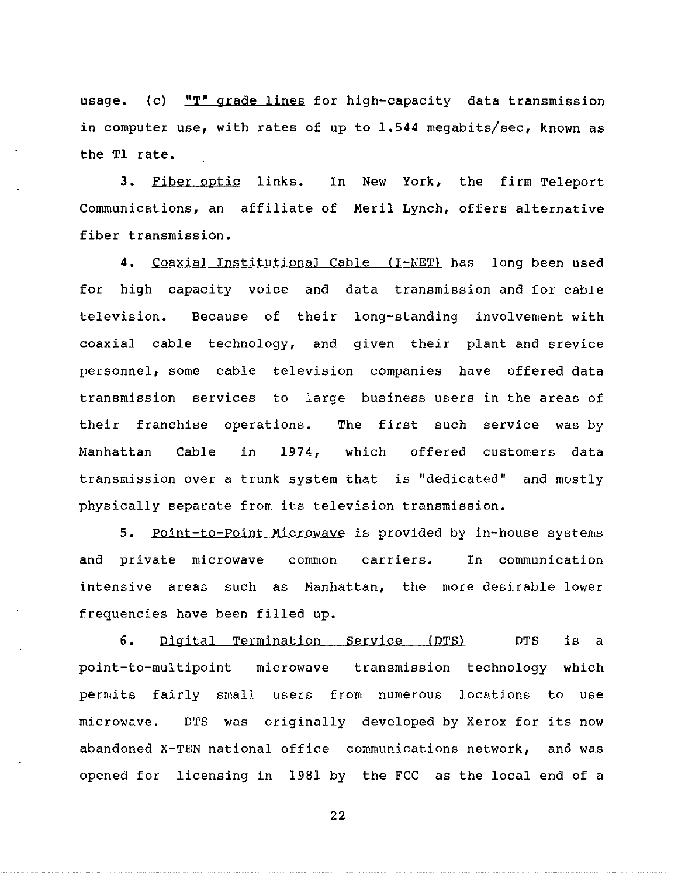usage. (c) "T" grade lines for high-capacity data transmission in computer use, with rates of up to 1.544 megabits/sec, known as the Tl rate.

3. Fiber optic links. Communications, an affiliate of Meril Lynch, offers alternat fiber transmission. In New York, the firm Teleport

4. Coaxial Institutional Cable (I-NET) has long been used for high capacity voice and data transmission and for cable television. Because of their long-standing involvement with coaxial cable technology, and given their plant and srevice personnel, some cable television companies have offered data transmission services to large business users in the areas of their franchise operations. The first such service was by Manhattan Cable in 1974, which offered customers data transmission over a trunk system that is "dedicated" and mostly physically separate from its television transmission.

5. Point-to-Point Microwaye is provided by in-house systems and private microwave common carriers. In communication intensive areas such as Manhattan, the more desirable lower frequencies have been filled up.

6. Digital Termination Service (DTS) DTS is a point-to-multipoint microwave transmission technology which permits fairly small users from numerous locations to use microwave. DTS was originally developed by Xerox for its now abandoned X-TEN national office communications network, and was opened for licensing in 1981 by the FCC as the local end of a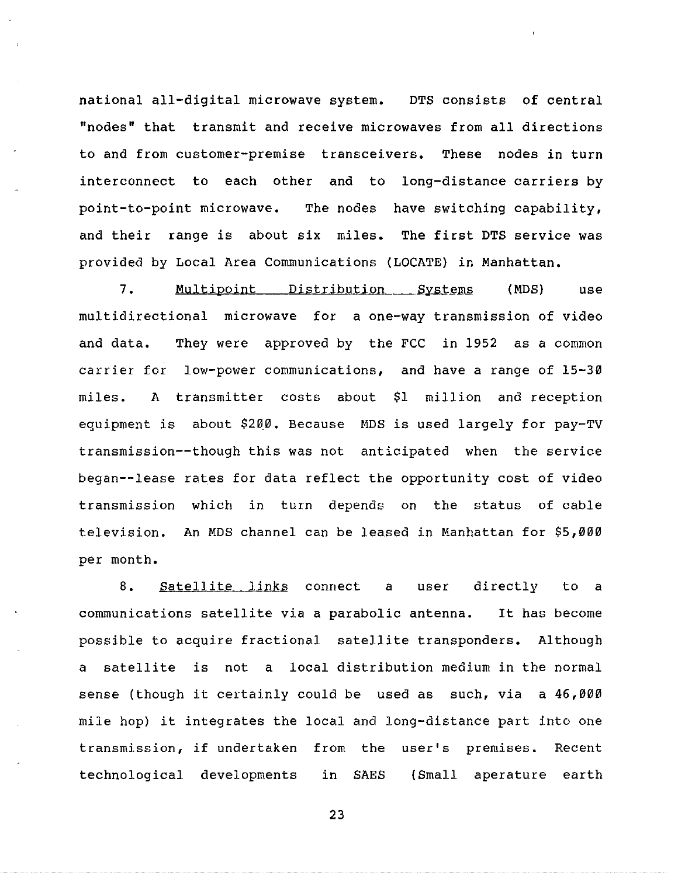national all-digital microwave system. DTS consists of central "nodes" that transmit and receive microwaves from all directions to and from customer-premise transceivers. These nodes in turn interconnect to each other and to long-distance carriers by point-to-point microwave. The nodes have switching capability, and their range is about six miles. The first DTS service was provided by Local Area Communications (LOCATE) in Manhattan.

7. Multipoint Distribution Systems (MDS) use multidirectional microwave for a one-way transmission of video and data. They were approved by the FCC in 1952 as a common carrier for low-power communications, and have a range of 15-30 miles. A transmitter costs about \$1 million and reception equipment is about \$200. Because MDS is used largely for pay-TV transmission--though this was not anticipated when the service began--lease rates for data reflect the opportunity cost of video transmission which in turn depends on the status of cable television. An MDS channel can be leased in Manhattan for \$5,000 per month.

8. Satellite links connect a user directly to a communications satellite via a parabolic antenna. It has become possible to acquire fractional satellite transponders. Although a satellite is not a local distribution medium in the normal sense (though it certainly could be used as such, via a 46,000 mile hop) it integrates the local and long-distance part into one transmission, if undertaken from the user's premises. Recent technological developments in SAES (Small aperature earth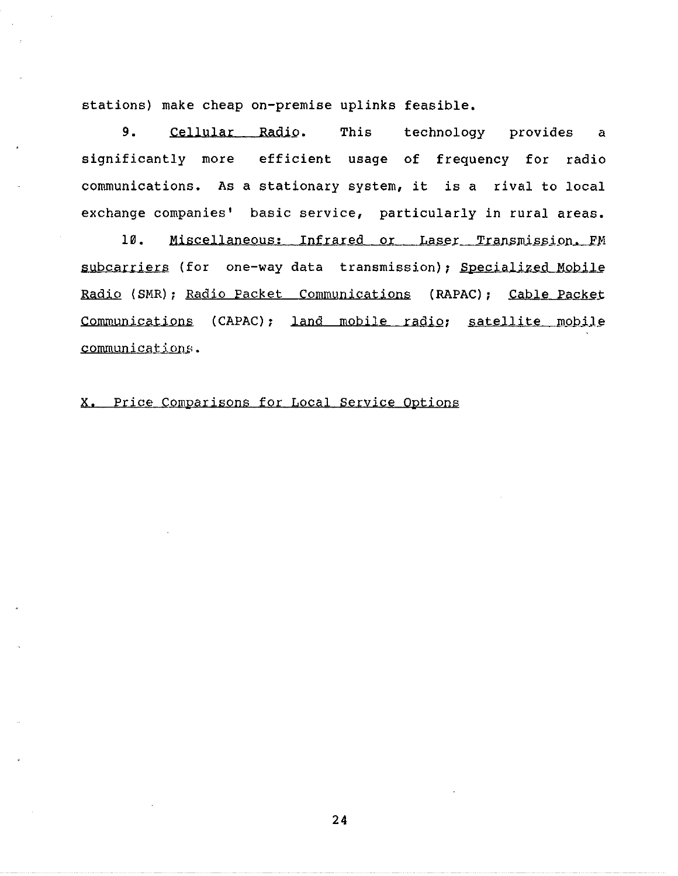stations) make cheap on-premise uplinks feasible.

9. Cellular Radio. This technology provides a significantly more efficient usage of frequency for radio communications. As a stationary system, it is a rival to local exchange companies' basic service, particularly in rural areas.

10. Miscellaneous: Infrared or Laser Transmission. FM subcarriers (for one-way data transmission); Specialized Mobile Radio (SMR); Radio Packet Communications (RAPAC); Cable Packet Communications (CAPAC); land mobile radio; satellite mobile communications.

x. Price Comparisons for Local Service Options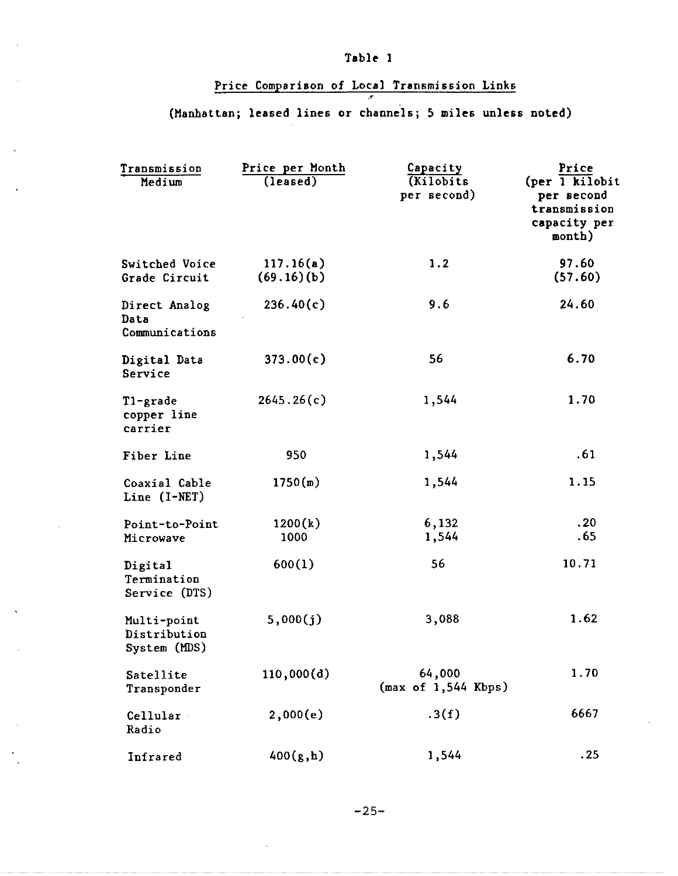# Table 1

# Price Comparison of Local Transmission Links

## .> (Manhattan; leased lines or channels; 5 miles unless noted)

| Transmission<br>Medium                      | Price per Month<br>(lensed) | Capacity<br>(Kilobits)<br>per second) | Price<br>(per 1 kilobit<br>per second<br>transmission<br>capacity per<br>month) |
|---------------------------------------------|-----------------------------|---------------------------------------|---------------------------------------------------------------------------------|
| Switched Voice<br>Grade Circuit             | 117.16(a)<br>(69.16)(b)     | 1.2                                   | 97.60<br>(57.60)                                                                |
| Direct Analog<br>Data<br>Communications     | 236.40(c)                   | 9.6                                   | 24.60                                                                           |
| Digital Data<br>Service                     | 373.00(c)                   | 56                                    | 6.70                                                                            |
| T1-grade<br>copper line<br>carrier          | 2645.26(c)                  | 1,544                                 | 1.70                                                                            |
| Fiber Line                                  | 950                         | 1,544                                 | .61                                                                             |
| Coaxial Cable<br>Line (I-NET)               | 1750(m)                     | 1,544                                 | 1.15                                                                            |
| Point-to-Point<br>Microwave                 | 1200(k)<br>1000             | 6,132<br>1,544                        | .20<br>.65                                                                      |
| Digital<br>Termination<br>Service (DTS)     | 600(1)                      | 56                                    | 10.71                                                                           |
| Multi-point<br>Distribution<br>System (MDS) | 5,000(j)                    | 3,088                                 | 1.62                                                                            |
| Satellite<br>Transponder                    | 110,000(d)                  | 64,000<br>(max of 1,544 Kbps)         | 1.70                                                                            |
| Cellular<br>Radio                           | 2,000(e)                    | .3(f)                                 | 6667                                                                            |
| Infrared                                    | 400(g, h)                   | 1,544                                 | .25                                                                             |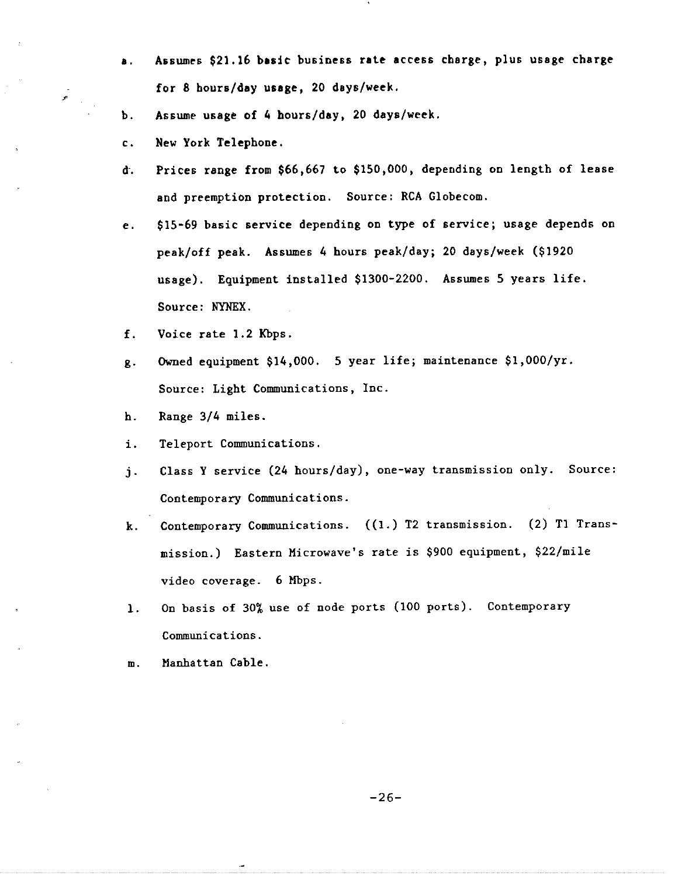- **a.** Assumes \$21,16 **basic** business **rate** access charge, plus usage charge for 8 hours/day **usage,** 20 days/week.
- b. Assume usage of 4 hours/day, 20 days/week.
- c. New York Telephone.

-"

- d. Prices range from \$66,667 to \$150,000, depending on length of lease and preemption protection. Source: RCA Globecom.
- e. \$15-69 basic service depending on type of service; usage depends on peak/off peak. Assumes 4 hours peak/day; 20 days/week (\$1920 usage). Equipment installed \$1300-2200. Assumes 5 years life. Source: NYNEX.
- f. Voice rate 1,2 Kbps.
- g. Owned equipment \$14,000. 5 year life; maintenance \$1,000/yr. Source: Light Communications, Inc.
- h. Range 3/4 miles.
- i. Teleport Communications.
- j. Class Y service (24 hours/day), one-way transmission only. Source: Contemporary Communications.
- k. Contemporary Communications. ((1.) T2 transmission. (2) Tl Transmission.) Eastern Microwave's rate is \$900 equipment, \$22/mile video coverage. 6 Mbps.
- 1. On basis of 30% use of node ports (100 ports). Contemporary Communications.
- m. Manhattan Cable.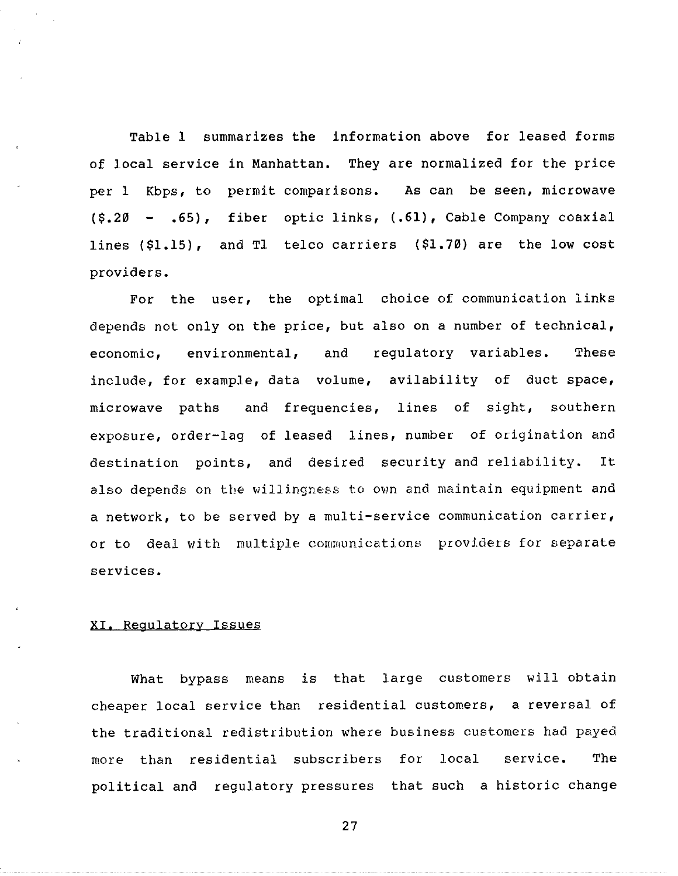Table 1 summarizes the information above for leased forms of local service in Manhattan. They are normalized for the price per 1 Kbps, to permit comparisons. As can be seen, microwav (\$.20 - .65), fiber optic links, (.61), Cable Company coaxia lines (\$1.15), and Tl telco carriers (\$1.70) are the low cos providers.

For the user, the optimal choice of communication links depends not only on the price, but also on a number of technical, economic, environmental, and regulatory variables, These include, for example, data volume, avilability of duct space, microwave paths and frequencies, lines of sight, southern exposure, order-lag of leased lines, number of origination and destination points, and desired security and reliability. It also depends on the willingness to own and maintain equipment and a network, to be served by a multi-service communication carrier, or to deal with multiple communications providers for separate services.

### XI, Regulatory Issues

What bypass means is that large customers will obtain cheaper local service than residential customers, a reversal of the traditional redistribution where business customers had payed more than residential subscribers for local service. The political and regulatory pressures that such a historic change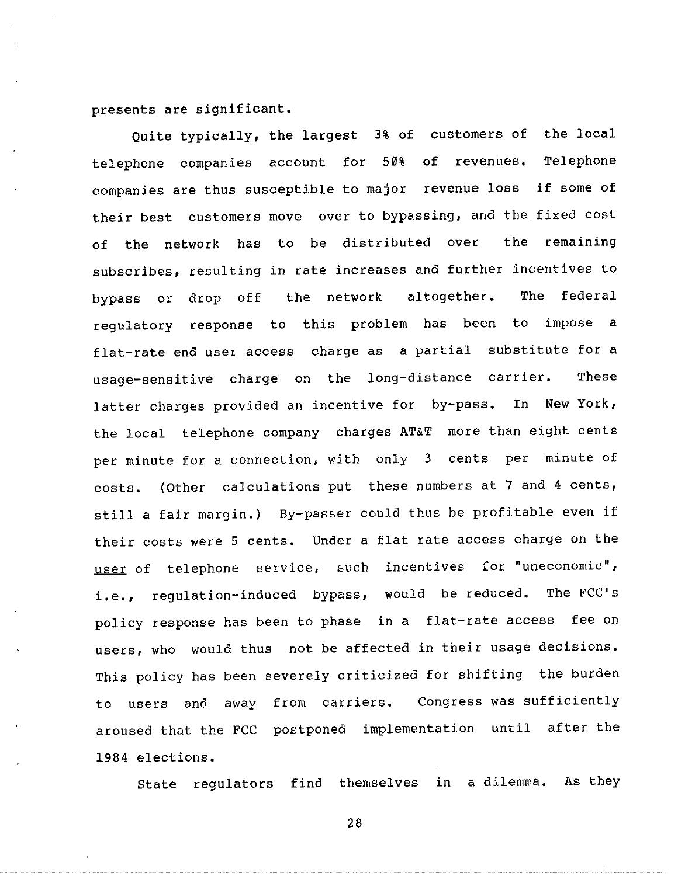presents are significant.

Quite typically, the largest 3% of customers of the loca telephone companies account for 50% of revenue Telephone companies are thus susceptible to major revenue loss if some of their best customers move over to bypassing, and the fixed cost of the network has to be distributed over the remaining subscribes, resulting in rate increases and further incentives to bypass or drop off the network altogether. The federal regulatory response to this problem has been to impose a flat-rate end user access charge as a partial substitute for a usage-sensitive charge on the long-distance carrier. These latter charges provided an incentive for by-pass. In New York, the local telephone company charges AT&T more than eight cents per minute for a connection, with only 3 cents per minute of costs. (Other calculations put these numbers at 7 and 4 cents, still a fair margin.) By-passer could thus be profitable even if their costs were 5 cents. Under a flat rate access charge on the user of telephone service, such incentives for "uneconomic", i.e., regulation-induced bypass, would be reduced. The FCC's policy response has been to phase in a flat-rate access fee on users, who would thus not be affected in their usage decisions. This policy has been severely criticized for shifting the burden to users and away from carriers. Congress was sufficiently aroused that the FCC postponed implementation until after the 1984 elections.

State regulators find themselves in a dilemma. As they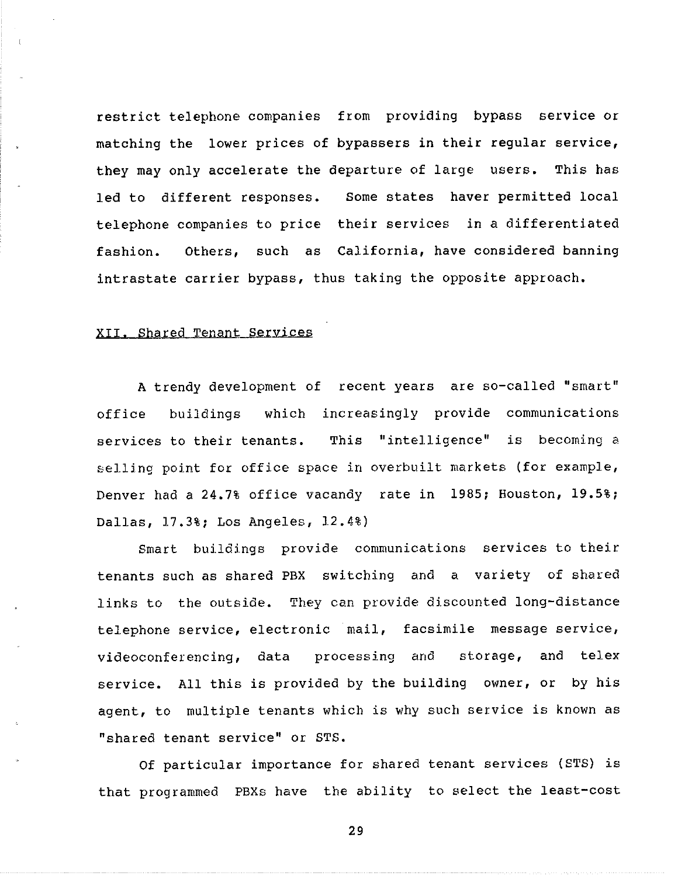restrict telephone companies from providing bypass service or matching the lower prices of bypassers in their regular service, they may only accelerate the departure of large users. This has led to different responses. Some states haver permitted local telephone companies to price their services in a differentiated fashion. Others, such as California, have considered banning intrastate carrier bypass, thus taking the opposite approach.

### xrr. Shared Tenant services

A trendy development of recent years are so-called "smart" office buildings which increasingly provide communications services to their tenants. This "intelligence" is becoming a selling point for office space in overbuilt markets (for example, Denver had a 24.7% office vacandy rate in 1985; Houston, 19.5%; Dallas, 17.3%; Los Angeles, 12.4%)

Smart buildings provide communications services to their tenants such as shared PBX switching and a variety of shared links to the outside. They can provide discounted long-distance telephone service, electronic mail, facsimile message servic videoconferencing, data processing storage, and telex service. All this is provided by the building owner, or by his agent, to multiple tenants which is why such service is known as "shared tenant service" or STS.

Of particular importance for shared tenant services (STS) is that programmed PBXs have the ability to select the least-cost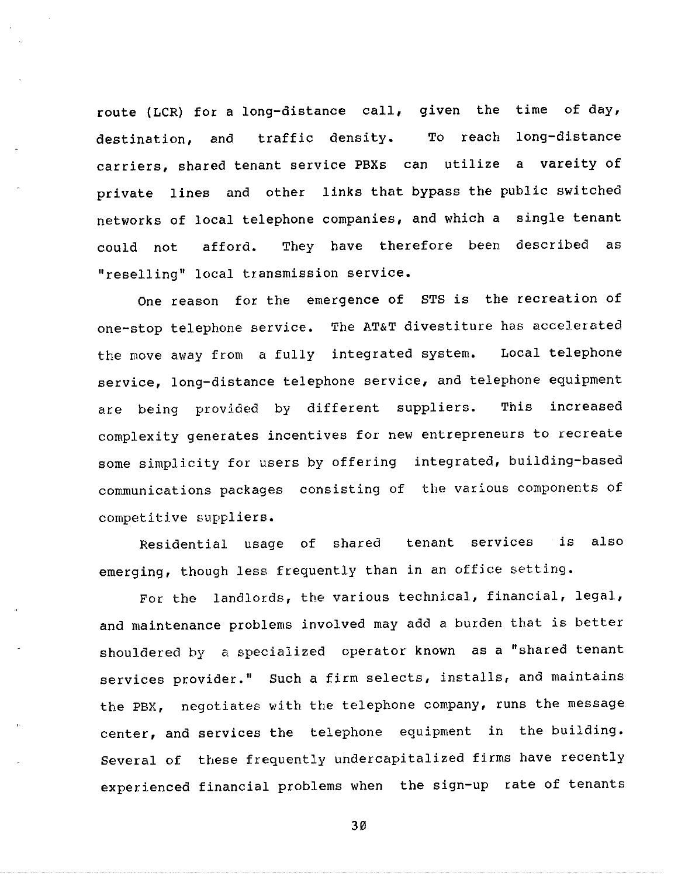route (LCR) for a long-distance call, given the time of day, destination, and traffic density. To reach long-distance carriers, shared tenant service PBXs can utilize a vareity of private lines and other links that bypass the public switched networks of local telephone companies, and which a single tenant could not afford. They have therefore been described as "reselling" local transmission service.

One reason for the emergence of STS is the recreation of one-stop telephone service. The AT&T divestiture has accelerat the move away from a fully integrated system. Local telephor service, long-distance telephone service, and telephone equipment are being provided by different suppliers. This increased complexity generates incentives for new entrepreneurs to recreate some simplicity for users by offering integrated, building-based communications packages consisting of the various components of competitive suppliers.

Residential usage of shared tenant services is also emerging, though less frequently than in an office setting.

For the landlords, the various technical, financial, legal, and maintenance problems involved may add a burden that is better shouldered by a specialized operator known as a "shared tenant services provider." Such a firm selects, installs, and maintains the PBX, negotiates with the telephone company, runs the message center, and services the telephone equipment in the building. Several of these frequently undercapitalized firms have recently experienced financial problems when the sign-up rate of tenants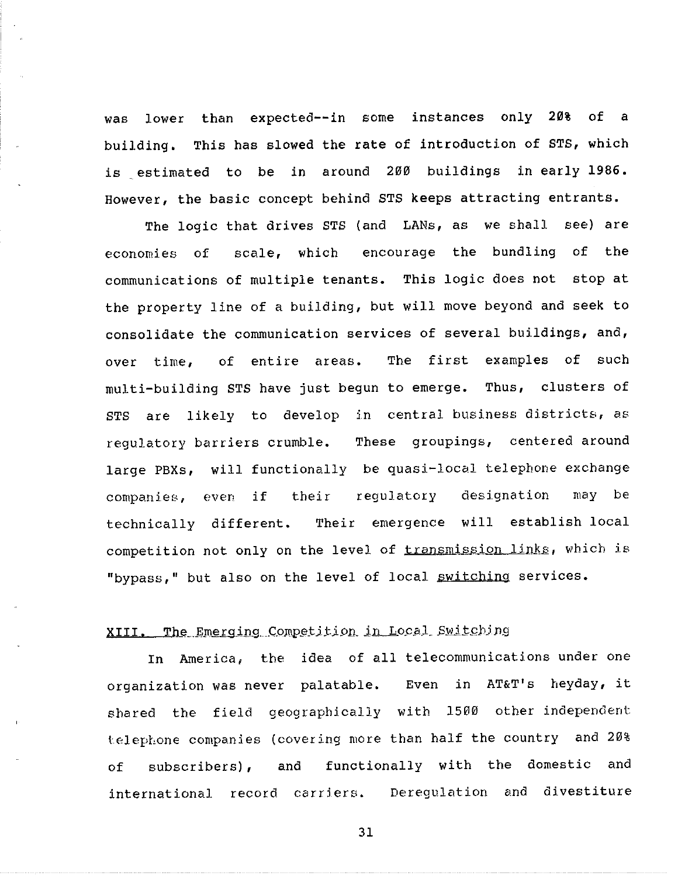was lower than expected--in some instances only **20%** of a building. This has slowed the rate of introduction of STS, which is estimated to be in around 200 buildings in early 1986. However, the basic concept behind STS keeps attracting entrants.

The logic that drives STS (and LANs, as we shall see) are economies of scale, which encourage the bundling of the communications of multiple tenants. This logic does not stop at the property line of a building, but will move beyond and seek to consolidate the communication services of several buildings, and, over time, of entire areas. The first examples of such multi-building STS have just begun to emerge, Thus, clusters of STS are likely to develop in central business districts, as regulatory barriers crumble. These groupings, centered around large PBXs, will functionally be quasi-local telephone exchange companies, even if their regulatory designation may be technically different. Their emergence will establish local competition not only on the level of transmission links, which is "bypass," but also on the level of local switching services.

# XIII. The Emerging Competition in Local Switching

In America, the idea of all telecommunications under one organization was never palatable, Even in AT&T's heyday, it shared the field geographically with 1500 other independent telephone companies (covering more than half the country and 20% of subscribers), and functionally with the domestic and international record carriers. Deregulation and divestiture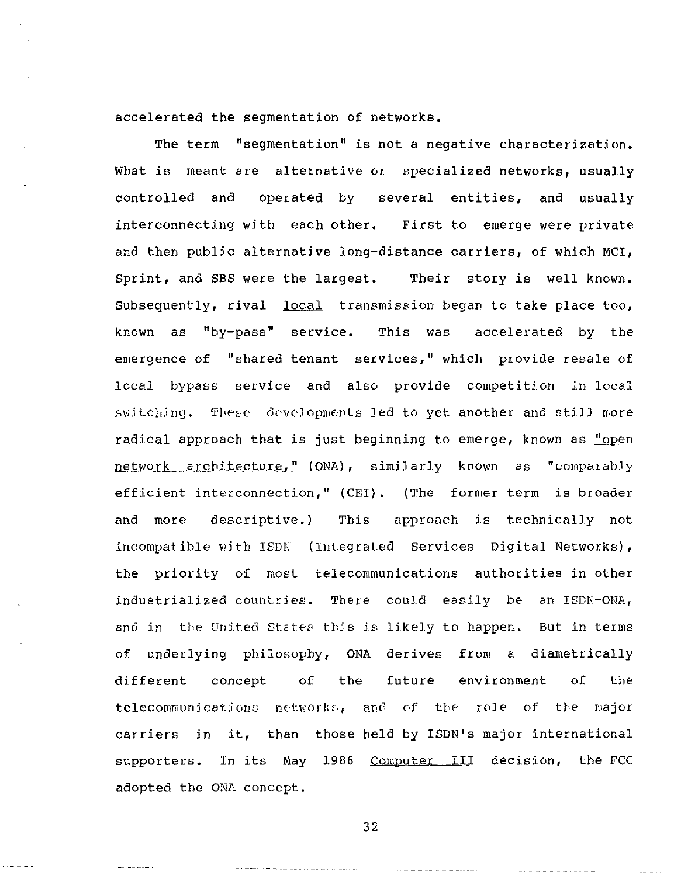accelerated the segmentation of networks.

The term "segmentation" is not a negative characterization. What is meant are alternative or specialized networks, usually controlled and operated by several entities, and usually interconnecting with each other. First to emerge were private and then public alternative long-distance carriers, of which MCI, Sprint, and SBS were the largest. Their story is well known. Subsequently, rival local transmission began to take place too, known as "by-pass" service. This was accelerated by the emergence of "shared tenant services," which provide resale of local bypass service and also provide competition in local switching. These developments led to yet another and still more radical approach that is just beginning to emerge, known as "open network architecture," (ONA), similarly known as "comparably efficient interconnection," (CEI). (The former term is broader and more descriptive.) This approach is technically not incompatible with ISDN (Integrated Services Digital Networks), the priority of most telecommunications authorities in other industrialized countries. There could easily be an ISDN-ONA, and in the United States this is likely to happen. But in terms of underlying philosophy, ONA derives from a diametrically different concept of the future environment of the telecommunications networks, and of the role of the major carriers in it, than those-held by ISDN's major internation supporters. In its May 1986 Computer III decision, the FCC adopted the ONA concept,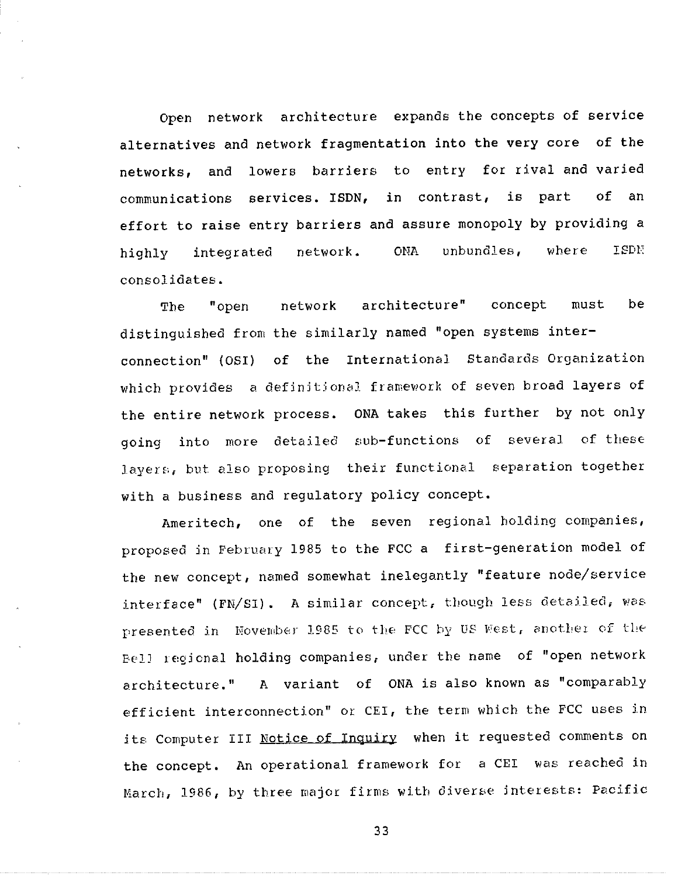Open network architecture expands the concepts of service alternatives and network fragmentation into the very core of the networks, and lowers barriers to entry for rival and varied communications services. ISDN, in contrast, is part of an effort to raise entry barriers and assure monopoly by providing a highly integrated network. ONA unbundles, where ISDN consolidates.

The "open network architecture" concept must be distinguished from the similarly named "open systems interconnection" (OSI) of the International Standards Organization which provides a definitional framework of seven broad layers of the entire network process. ONA takes this further by not only going into more detailed sub-functions of several of these layers, but also proposing their functional separation together with a business and regulatory policy concept.

Ameritech, one of the seven regional holding companies, proposed in February 1985 to the FCC a first-generation model of the new concept, named somewhat inelegantly "feature node/service interface" (FN/SI). A similar concept, though less detailed, was presented in November 1985 to the FCC by US West, another of the Bell regional holding companies, under the name of "open network architecture." A variant of ONA is also known as "comparably efficient interconnection" or CEI, the term which the FCC uses in its Computer III Notice of Inquiry when it requested comments on the concept. An operational framework for a CEI was reached in March, 1986, by three major firms with diverse Jnterests: Pacific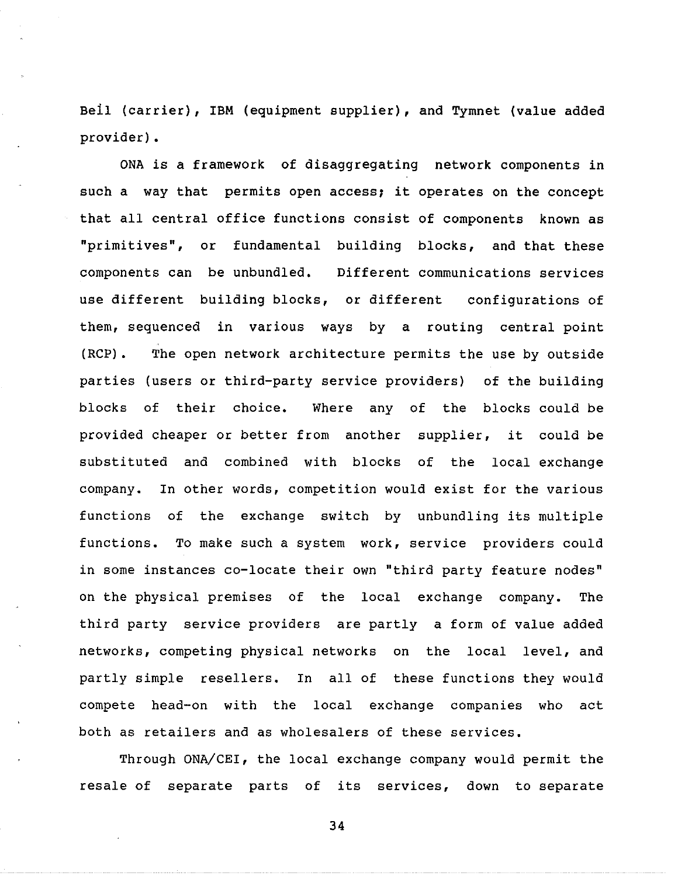Beil (carrier), IBM (equipment supplier), and Tymnet (value added provider).

ONA is a framework of disaggregating network components in such a way that permits open access; it operates on the concept that all central office functions consist of components known as "primitives", or fundamental building blocks, and that these components can be unbundled. Different communications services use different building blocks, or different configurations of them, sequenced in various ways by a routing central point (RCP). The open network architecture permits the use by outside parties (users or third-party service providers) of the building blocks of their choice. Where any of the blocks could be provided cheaper or better from another substituted and combined with blocks of the localexchang supplier, it could be company. In other words, competition would exist for the various functions of the exchange switch by unbundling its multiple functions. To make such a system work, service providers could in some instances co-locate their own "third party feature nodes" on the physical premises of the local exchange company. The third party service providers are partly a form of value added networks, competing physical networks on the local level, and partly simple resellers. In all of these functions they would compete head-on with the local exchange companies who act both as retailers and as wholesalers of these services.

Through ONA/CEI, the local exchange company would permit the resale of separate parts of its services, down to separate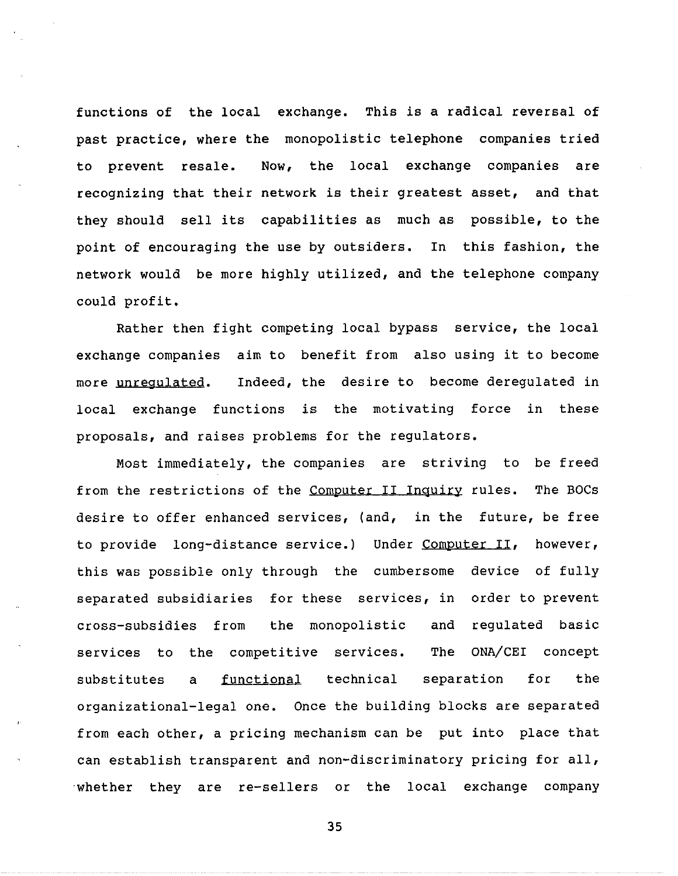functions of the local exchange. This is a radical reversal of past practice, where the monopolistic telephone companies tried to prevent resale. Now, the local exchange companies are recognizing that their network is their greatest asset, and that they should sell its capabilities as much as possible, to the point of encouraging the use by outsiders. In this fashion, the network would be more highly utilized, and the telephone company could profit.

Rather then fight competing local bypass service, the local exchange companies aim to benefit from also using it to become more unregulated. local exchange functions is the motivating force in thes Indeed, the desire to become deregulated in proposals, and raises problems for the regulators.

Most immediately, the companies are striving to be freed from the restrictions of the Computer II Inquiry rules. The BOCs desire to offer enhanced services, (and, in the future, be free to provide long-distance service.) Under Computer II, however, this was possible only through the cumbersome device of fully separated subsidiaries for these services, in order to prevent cross-subsidies from the monopolistic and regulated basic services to the competitive services. The ONA/CEI concept substitutes a functional technical separation for the organizational-legal one. Once the building blocks are separated from each other, a pricing mechanism can be put into place that can establish transparent and non-discriminatory pricing for all, whether they are re-sellers or the local exchange company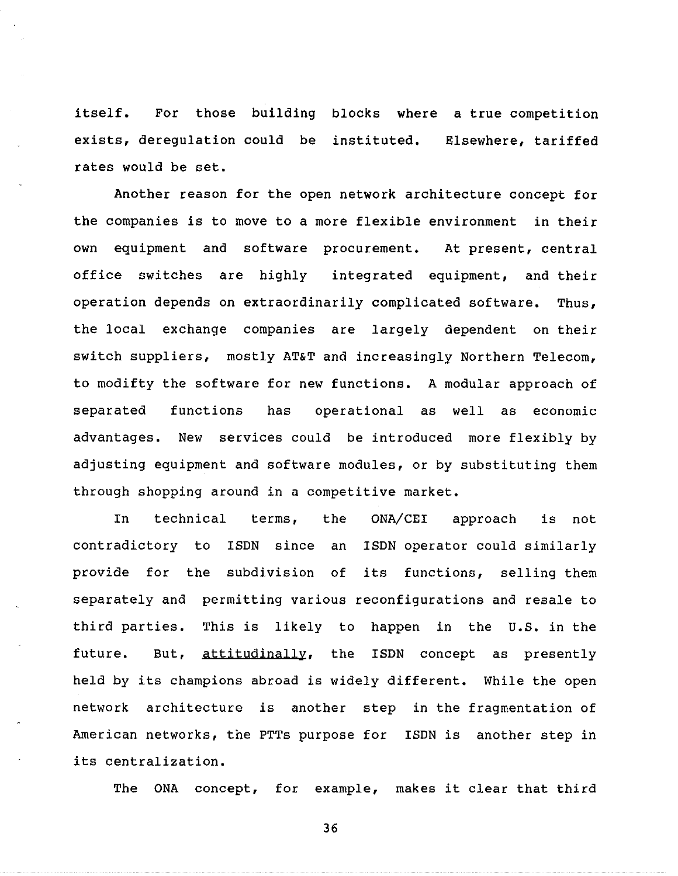itself. For those building blocks where a true-competiti exists, deregulation could be institu rates would be set. Elsewhere, tariffed

Another reason for the open network architecture concept for the companies is to move to a more flexible environment in their own equipment and software procurement. At present, central office switches are highly integrated equipment, and their operation depends on extraordinarily complicated software. Thus, the local exchange companies are largely dependent on their switch suppliers, mostly AT&T and increasingly Northern Telecom, to modifty the software for new functions. A modular approach of separated functions has operational as well as economic advantages. New services could be introduced more flexibly by adjusting equipment and software modules, or by substituting them through shopping around in a competitive market.

In technical terms, the ONA/CEI approach is not contradictory to ISDN since an ISDN operator could similarly provide for the subdivision of its functions, selling them separately and permitting various reconfigurations and resale to third parties. This is likely to happen in the U.S. in the future. But, attitudinally, the ISDN concept as presently held by its champions abroad is widely different. While the open network architecture is another step in the fragmentation of American networks, the PTTs purpose for ISDN is another step in its centralization.

The ONA concept, for example, makes it clear that third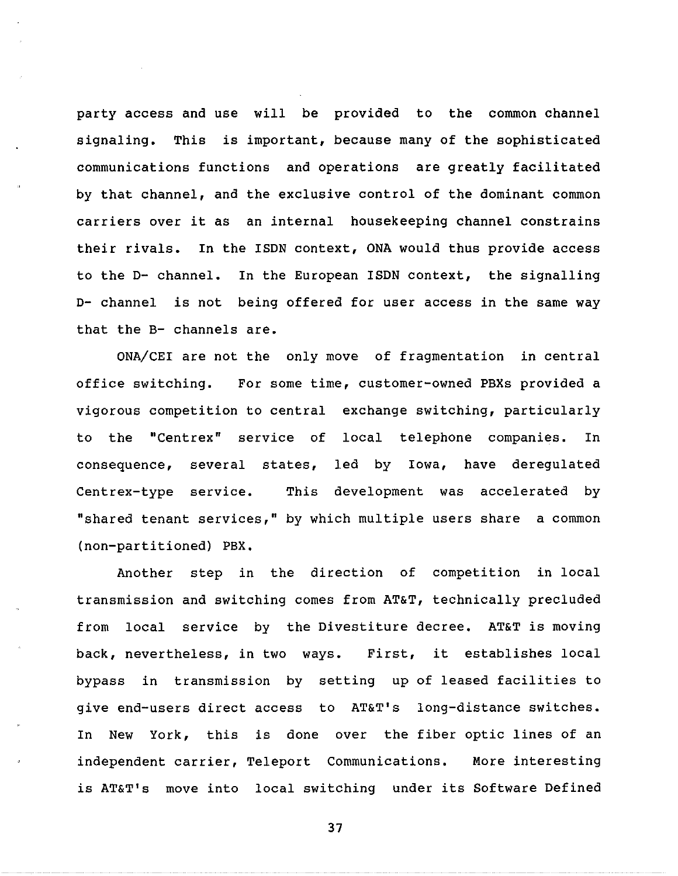party access and use will be provided to the common channel signaling. This is important, because many of the sophisticated communications functions and operations are greatly facilitated by that channel, and the exclusive control of the dominant common carriers over it as an internal housekeeping channel constrains their rivals. In the ISDN context, ONA would thus provide access to the D- channel. In the European ISDN context, the signalling D- channel is not being offered for user access in the same way that the B- channels are.

ONA/CEI are not the only move of fragmentation in central office switching. For some time, customer-owned PBXs provided a vigorous competition to central exchange switching, particule to the "Centrex" service of local telephone companies. In  $\texttt{consequence, several states, led by Iowa, have deregula}$ Centrex-type service. This development was accelerated by "shared tenant services," by which multiple users share a common (non-partitioned) PBX.

Another step in the direction of competition in local transmission and switching comes from AT&T, technically precluded from local service by the Divestiture decree. AT&T is moving back, nevertheless, in two ways. First, it establishes local bypass in transmission by setting up of leased facilities to give end-users direct access to AT&T's long-distance switches. In New York, this is done over the fiber optic lines of an independent carrier, Teleport Communications. More interesting is AT&T's move into local switching under its Software Defined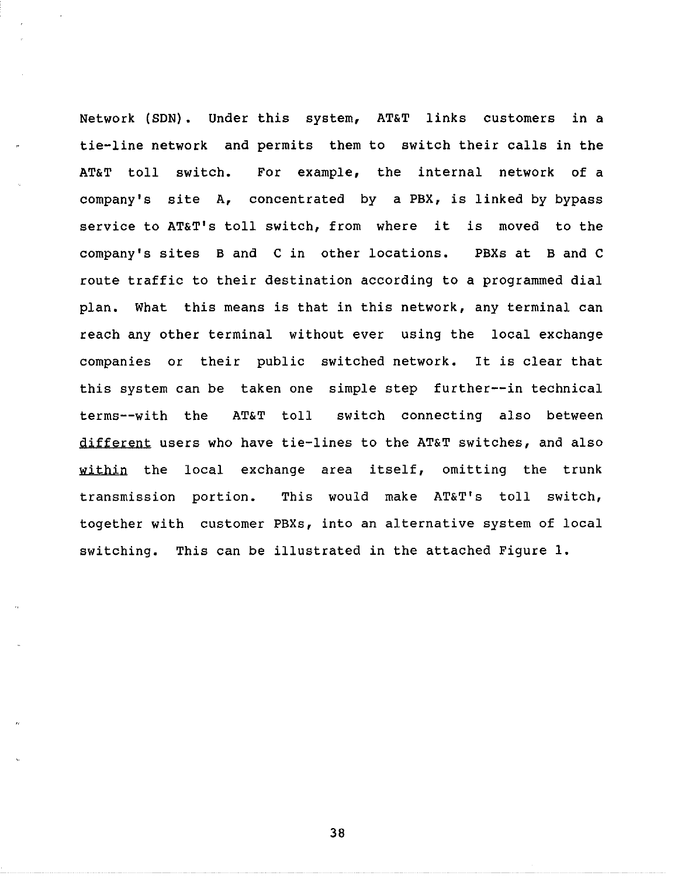Network (SDN). Under this system, AT&T links customers in a tie-line network and permits them to switch their calls in the AT&T toll switch. For example, the internal network of a company's site A, concentrated by a PBX, is linked by bypass service to AT&T's toll switch, from where it is moved to the company's sites Band C in other locations. PBXs at Band C route traffic to their destination according to a programmed dial plan. What this means is that in this network, any terminal can reach any other terminal without ever using the local exchange companies or their public switched network. It is clear that this system can be taken one simple step further--in technical terms--with the AT&T toll switch connecting also between different users who have tie-lines to the AT&T switches, and also within the local exchange area itself, omitting the trunk transmission portion. This would make AT&T's toll switch, together with customer PBXs, into an alternative system of local switching. This can be illustrated in the attached Figure 1.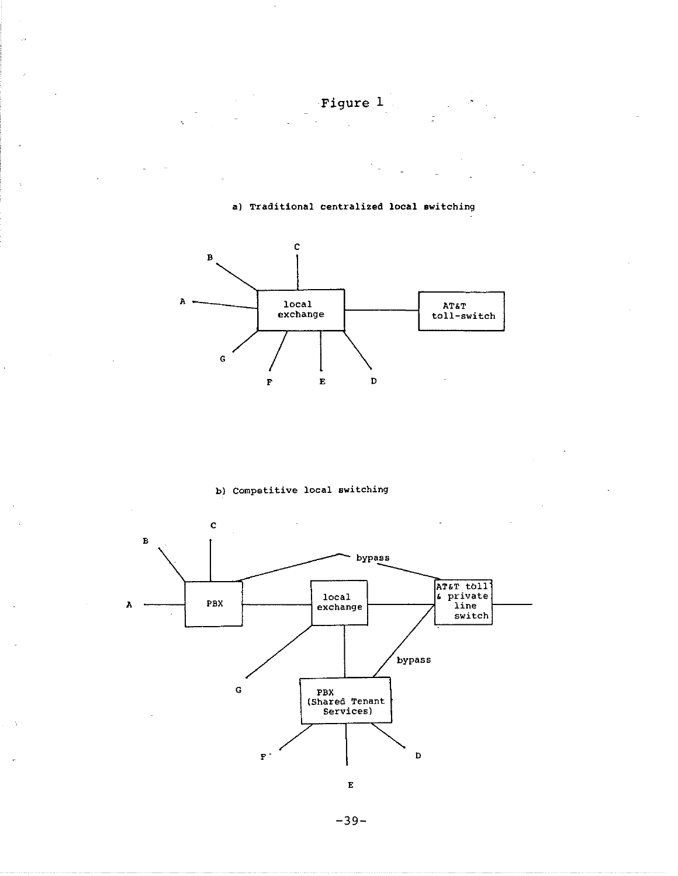Figure 1

a) Traditional centralized local switching



b} Competitive local switching



-39-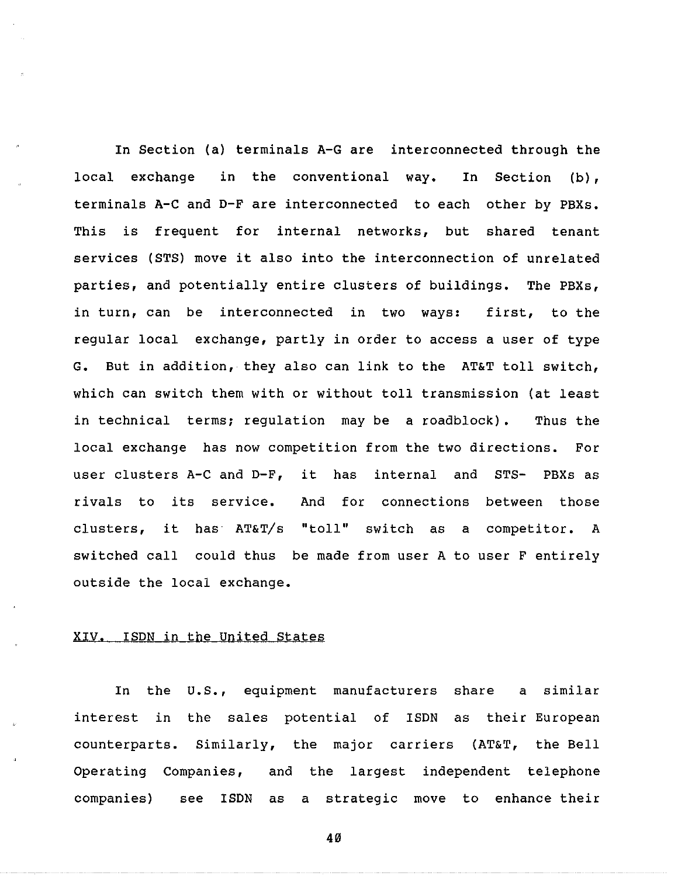In Section (a) terminals A-G are interconnected through the local exchange in the conventional way. In Section (b), terminals A-C and D-F are interconnected to each other by PBXs. This is frequent for internal networks, but shared tenant services (STS) move it also into the interconnection of unrelated parties, and potentially entire clusters of buildings. The PBXs, in turn, can be interconnected in two ways: first, to the regular local exchange, partly in order to access a user of type G. But in addition, they also can link to the AT&T toll switch, which can switch them with or without toll transmission (at least in technical terms; regulation may be a roadblock). Thus the local exchange has now competition from the two directions. For user clusters A-C and D-F, it has internal and STS- PBXs as rivals to its service. And for connections between those clusters, it has AT&T/s "toll" switch as a competitor. A switched call could thus be made from user A to user F entirely outside the local exchange.

### XIV. ISDN in the United States

In the U.S., equipment manufacturers share a similar interest in the sales potential of ISDN as their European counterparts. Similarly, the major carriers (AT&T, the Bell Operating Companies, and the largest independent telephone companies) see ISDN as a strategic move to enhance their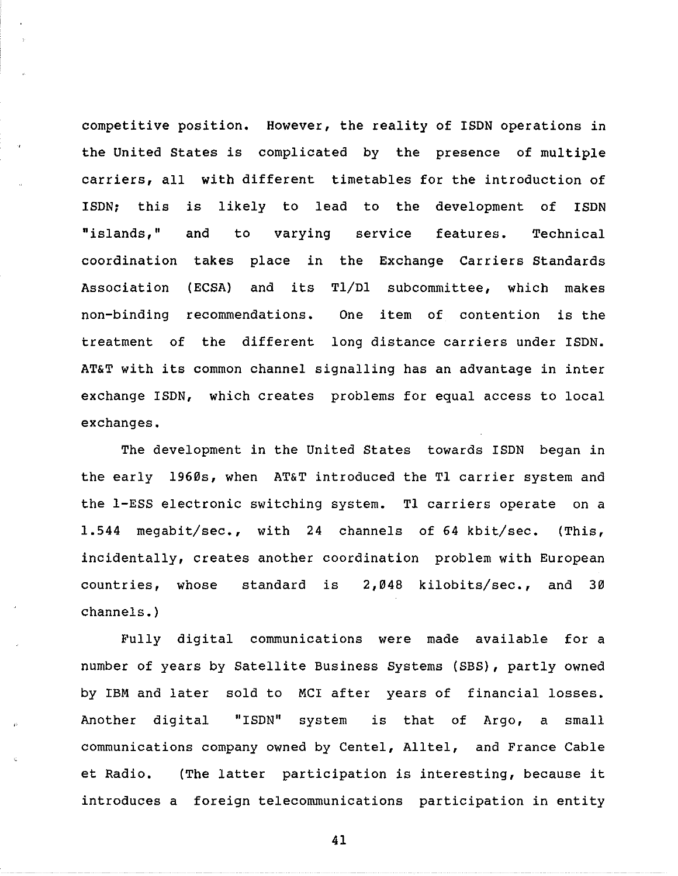competitive position. However, the reality of ISDN operations in the United States is complicated by the presence of multiple carriers, all with different timetables for the introduction of ISDN; this is likely to lead to the development of ISDN "islands," coordination takes place in the Exchange Carriers Standar Association non-binding recommendatio treatment of the different long distance carriers under ISDN. and to varying (ECSA) and its Tl/Dl subcommittee, which makes service features. Technical One item of contention is the AT&T with its common channel signalling has an advantage in inter exchange ISDN, which creates problems for equal access to local exchanges.

The development in the United States towards ISDN began in the early 1960s, when AT&T introduced the Tl carrier system and the 1-ESS electronic switching system. Tl carriers operate on a 1.544 megabit/sec., with 24 channels of 64 kbit/sec. (This, incidentally, creates another coordination problem with European countries, whose standard is 2,048 kilobits/sec., and 30 channels.)

Fully digital communications were made available for a number of years by Satellite Business Systems (SBS), partly owned by IBM and later sold to MCI after years of financial losses. Another digital "ISDN" system is that of Argo, a small communications company owned by Centel, Alltel, and France Cable et Radio. (The latter participation is interesting, because it introduces a foreign telecommunications participation in entity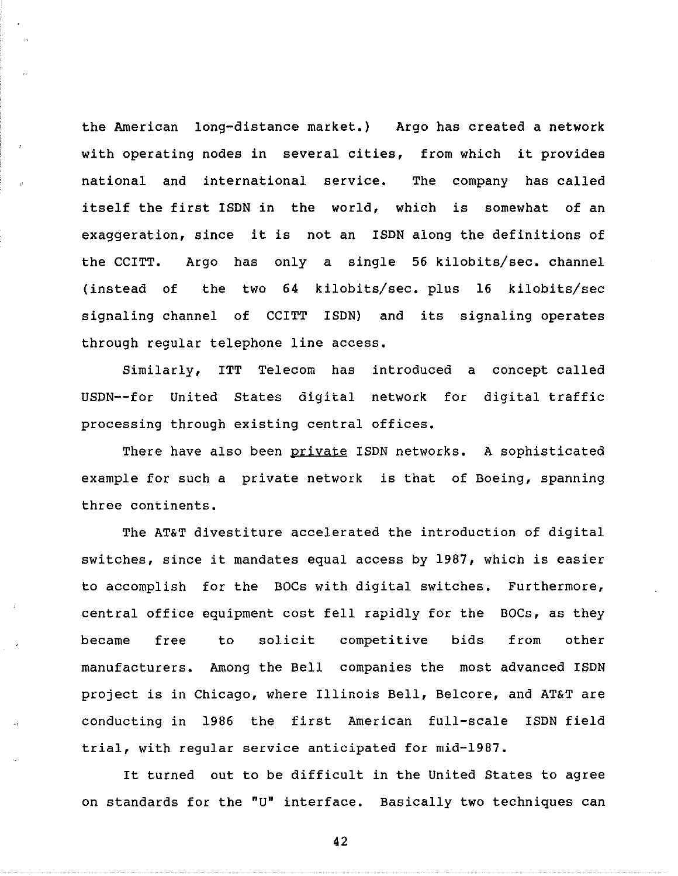the American long-distance market,) Argo has created a network with operating nodes in several cities, from which it provides national and international service. The company has called itself the first ISDN in the world, which is somewhat of an exaggeration, since it is not an ISDN along the definitions of the CCITT. Argo has only a single 56 kilobits/sec, channel (instead of the two 64 kilobits/sec. plus 16 kilobits/sec signaling channel of CCITT ISDN) and its signaling operates through regular telephone line access.

Similarly, ITT Telecom has introduced a concept called USDN--for United States digital network for digital traffic processing through existing central offices.

There have also been private ISDN networks. A sophisticated example for such a private network is that of Boeing, spanning three continents.

The AT&T divestiture accelerated the introduction of digital switches, since it mandates equal access by 1987, which is easier to accomplish for the BOCs with digital switches. Furthermore, central office equipment cost fell rapidly for the BOCs, as they became free to solicit competitive bids from other manufacturers. Among the Bell companies the most advanced ISDN project is in Chicago, where Illinois Bell, Belcore, and AT&T are conducting in 1986 the first American full-scale ISDN field trial, with regular service anticipated for mid-1987.

It turned out to be difficult in the United States to agree on standards for the "U" interface, Basically two techniques can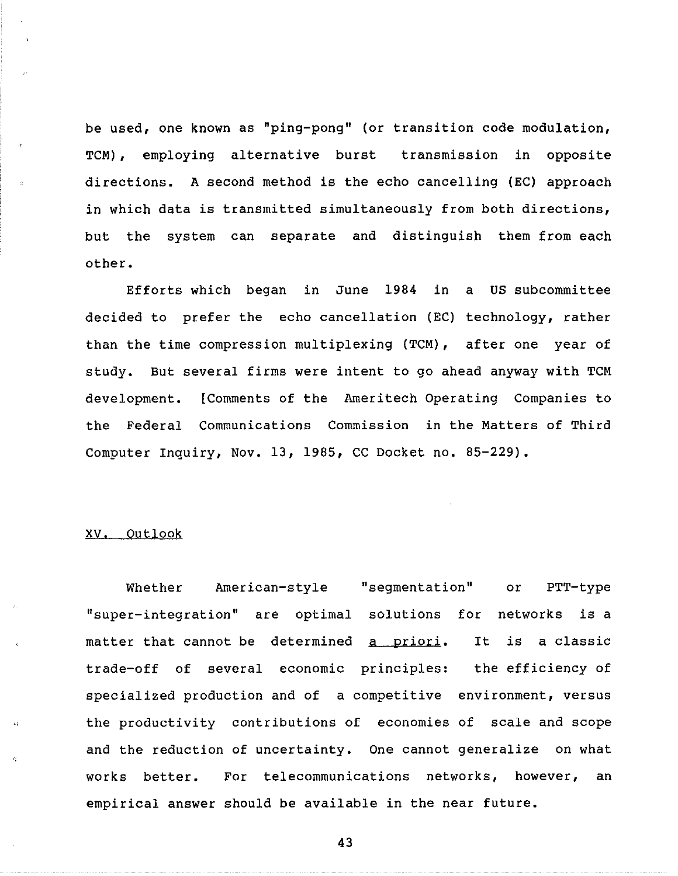be used, one known as "ping-pong" (or transition code modulation, TCM), employing alternative burst transmission in opposite directions. A second method is the echo cancelling (EC) approach in which data is transmitted simultaneously from both directions, but the system can separate and distinguish them from each other.

Efforts which began in June 1984 in a US subcommittee decided to prefer the echo cancellation (EC) technology, rather than the time compression multiplexing (TCM), after one year of study. But several firms were intent to go ahead anyway with TCM development. [Comments of the Ameritech Operating Companies to the Federal Communications Commission in the Matters of Third Computer Inquiry, Nov. 13, 1985, CC Docket no. 85-229).

### xv. Outlook

Whether American-style "segmentati "super-integration" are optimal solutions for networks is a matter that cannot be determined <u>a prior</u> trade-off of several economic principles: the efficiency of or PTT-type It is a classic specialized production and of a competitive environment, versus the productivity contributions of economies of scale and scope and the reduction of uncertainty. One cannot generalize on what works better. For telecommunications networks, however, an empirical answer should be available in the near future.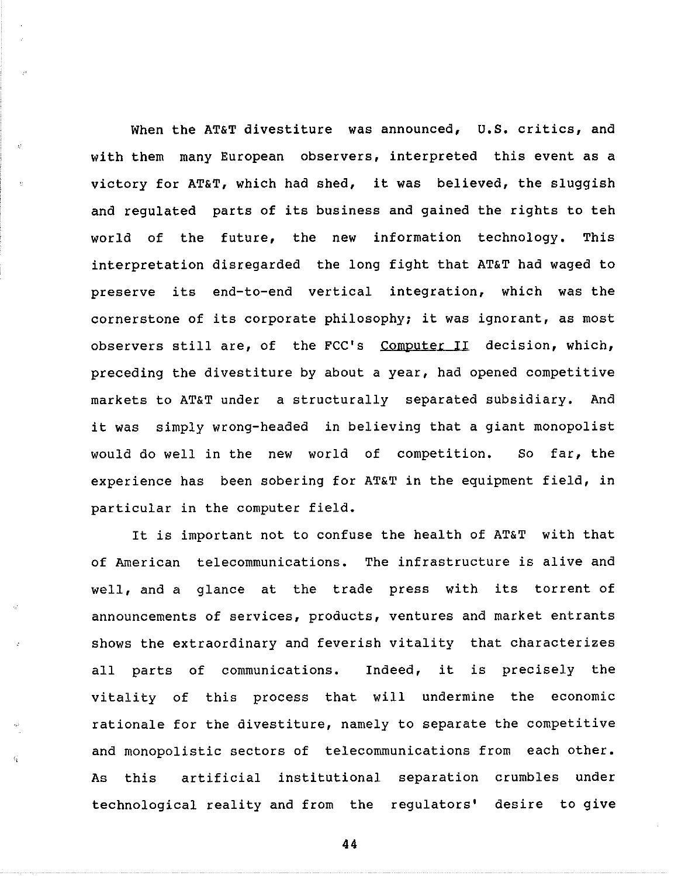When the AT&T divestiture was announced, U.S. critics, and with them many European observers, interpreted this event as a victory for AT&T, which had shed, it was believed, the sluggish and regulated parts of its business and gained the rights to teh world of the future, the new information technology. This interpretation disregarded the long fight that AT&T had waged to preserve its end-to-end vertical integration, which was the cornerstone of its corporate philosophy; it was ignorant, as most observers still are, of the FCC's Computer II decision, which, preceding the divestiture by about a year, had opened competitive markets to AT&T under a structurally separated subsidiary. And it was simply wrong-headed in believing that a giant monopolist would do well in the new world of competition. So far, the experience has been sobering for AT&T in the equipment field, in particular in the computer field.

It is important not to confuse the health of AT&T with that of American telecommunications. The infrastructure is alive and well, and a glance at the trade press with its torrent of announcements of services, products, ventures and market entrants shows the extraordinary and feverish vitality that characterizes all parts of communications. Indeed, it is precisely the vitality of this process that will undermine the economic rationale for the divestiture, namely to separate the competitive and monopolistic sectors of telecommunications from each other. As this artificial institutional separation crumbles under technological reality and from the regulators' desire to give